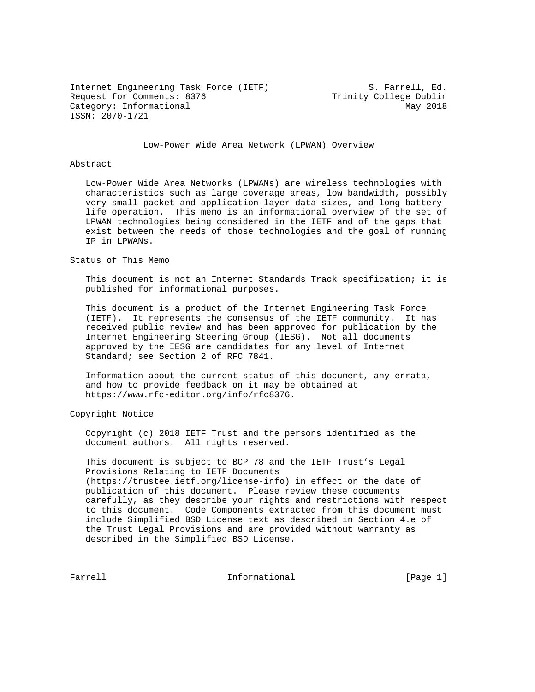Internet Engineering Task Force (IETF) S. Farrell, Ed. Request for Comments: 8376 Trinity College Dublin Category: Informational May 2018 ISSN: 2070-1721

Low-Power Wide Area Network (LPWAN) Overview

### Abstract

 Low-Power Wide Area Networks (LPWANs) are wireless technologies with characteristics such as large coverage areas, low bandwidth, possibly very small packet and application-layer data sizes, and long battery life operation. This memo is an informational overview of the set of LPWAN technologies being considered in the IETF and of the gaps that exist between the needs of those technologies and the goal of running IP in LPWANs.

### Status of This Memo

 This document is not an Internet Standards Track specification; it is published for informational purposes.

 This document is a product of the Internet Engineering Task Force (IETF). It represents the consensus of the IETF community. It has received public review and has been approved for publication by the Internet Engineering Steering Group (IESG). Not all documents approved by the IESG are candidates for any level of Internet Standard; see Section 2 of RFC 7841.

 Information about the current status of this document, any errata, and how to provide feedback on it may be obtained at https://www.rfc-editor.org/info/rfc8376.

Copyright Notice

 Copyright (c) 2018 IETF Trust and the persons identified as the document authors. All rights reserved.

 This document is subject to BCP 78 and the IETF Trust's Legal Provisions Relating to IETF Documents (https://trustee.ietf.org/license-info) in effect on the date of publication of this document. Please review these documents carefully, as they describe your rights and restrictions with respect to this document. Code Components extracted from this document must include Simplified BSD License text as described in Section 4.e of the Trust Legal Provisions and are provided without warranty as described in the Simplified BSD License.

Farrell **Informational Informational** [Page 1]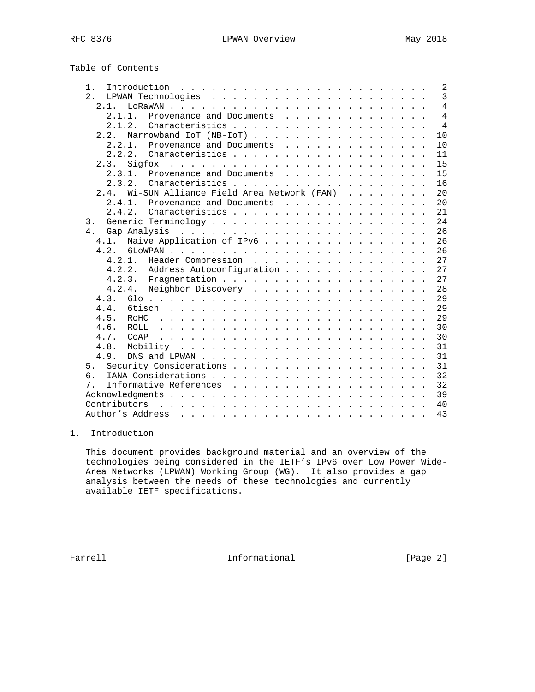Table of Contents

| $1$ .                                            | 2              |
|--------------------------------------------------|----------------|
| 2.                                               | $\overline{3}$ |
| 2.1.                                             | $\overline{4}$ |
| 2 1 1<br>Provenance and Documents                | $\overline{4}$ |
| $2 \t1 \t2$                                      | $\overline{4}$ |
| Narrowband IoT (NB-IoT)<br>2.2.                  | 10             |
| 2.2.1.<br>Provenance and Documents               | 10             |
| 2.2.2.                                           | 11             |
| 2.3.<br>Sigfox                                   | 15             |
| Provenance and Documents<br>2.3.1.               | 15             |
| 2.3.2.                                           | 16             |
| Wi-SUN Alliance Field Area Network (FAN)<br>2.4. | 20             |
| 241<br>Provenance and Documents                  | 20             |
| $2.4.2.$ Characteristics                         | 21             |
| 3.                                               | 24             |
| 4.                                               | 26             |
| 4.1. Naive Application of IPv6                   | 26             |
|                                                  | 26             |
| 4.2.1. Header Compression                        | 27             |
| 4.2.2. Address Autoconfiguration                 | 27             |
|                                                  | 27             |
|                                                  | 28             |
| Neighbor Discovery<br>4.2.4.                     | 29             |
| 4.3.                                             |                |
| 4.4.                                             | 29             |
| 4.5.                                             | 29             |
| 4.6.<br>ROLL.                                    | 30             |
| 4.7.<br>COAP                                     | 30             |
| 4.8.                                             | 31             |
| 4.9.                                             | 31             |
| 5 <sub>1</sub>                                   | 31             |
| б.                                               | 32             |
| 7.                                               | 32             |
|                                                  | 39             |
| Contributors                                     | 40             |
| Author's Address                                 | 43             |
|                                                  |                |

# 1. Introduction

 This document provides background material and an overview of the technologies being considered in the IETF's IPv6 over Low Power Wide- Area Networks (LPWAN) Working Group (WG). It also provides a gap analysis between the needs of these technologies and currently available IETF specifications.

Farrell **Informational Informational** [Page 2]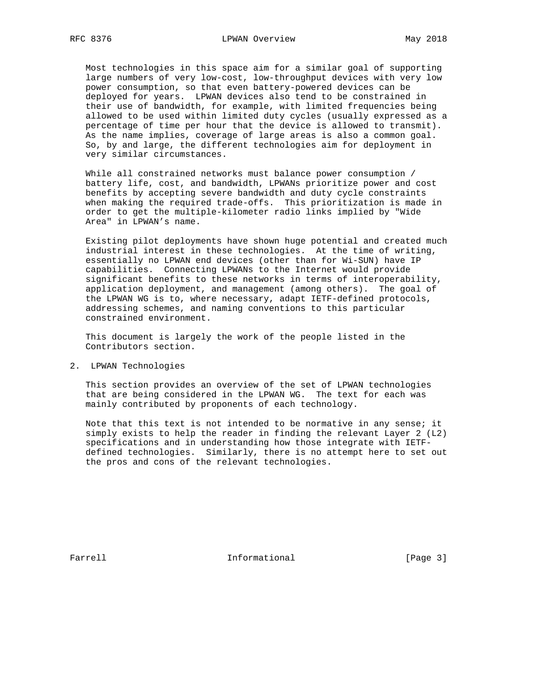Most technologies in this space aim for a similar goal of supporting large numbers of very low-cost, low-throughput devices with very low power consumption, so that even battery-powered devices can be deployed for years. LPWAN devices also tend to be constrained in their use of bandwidth, for example, with limited frequencies being allowed to be used within limited duty cycles (usually expressed as a percentage of time per hour that the device is allowed to transmit). As the name implies, coverage of large areas is also a common goal. So, by and large, the different technologies aim for deployment in very similar circumstances.

 While all constrained networks must balance power consumption / battery life, cost, and bandwidth, LPWANs prioritize power and cost benefits by accepting severe bandwidth and duty cycle constraints when making the required trade-offs. This prioritization is made in order to get the multiple-kilometer radio links implied by "Wide Area" in LPWAN's name.

 Existing pilot deployments have shown huge potential and created much industrial interest in these technologies. At the time of writing, essentially no LPWAN end devices (other than for Wi-SUN) have IP capabilities. Connecting LPWANs to the Internet would provide significant benefits to these networks in terms of interoperability, application deployment, and management (among others). The goal of the LPWAN WG is to, where necessary, adapt IETF-defined protocols, addressing schemes, and naming conventions to this particular constrained environment.

 This document is largely the work of the people listed in the Contributors section.

2. LPWAN Technologies

 This section provides an overview of the set of LPWAN technologies that are being considered in the LPWAN WG. The text for each was mainly contributed by proponents of each technology.

 Note that this text is not intended to be normative in any sense; it simply exists to help the reader in finding the relevant Layer 2 (L2) specifications and in understanding how those integrate with IETF defined technologies. Similarly, there is no attempt here to set out the pros and cons of the relevant technologies.

Farrell **Informational Informational** [Page 3]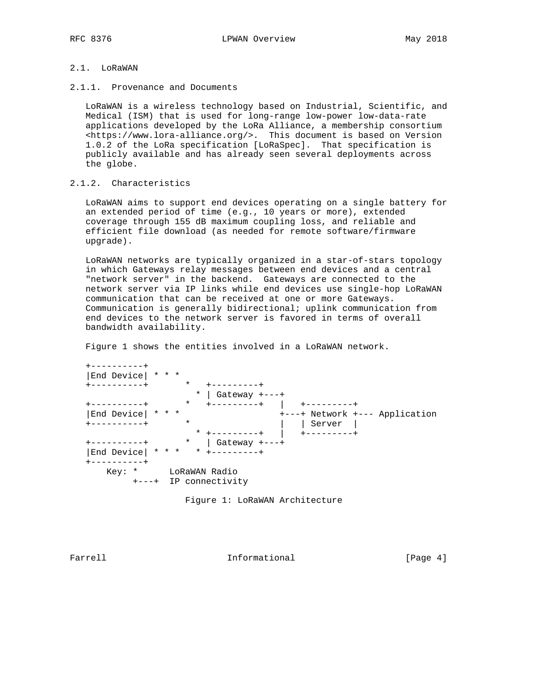# 2.1. LoRaWAN

2.1.1. Provenance and Documents

 LoRaWAN is a wireless technology based on Industrial, Scientific, and Medical (ISM) that is used for long-range low-power low-data-rate applications developed by the LoRa Alliance, a membership consortium <https://www.lora-alliance.org/>. This document is based on Version 1.0.2 of the LoRa specification [LoRaSpec]. That specification is publicly available and has already seen several deployments across the globe.

# 2.1.2. Characteristics

 LoRaWAN aims to support end devices operating on a single battery for an extended period of time (e.g., 10 years or more), extended coverage through 155 dB maximum coupling loss, and reliable and efficient file download (as needed for remote software/firmware upgrade).

 LoRaWAN networks are typically organized in a star-of-stars topology in which Gateways relay messages between end devices and a central "network server" in the backend. Gateways are connected to the network server via IP links while end devices use single-hop LoRaWAN communication that can be received at one or more Gateways. Communication is generally bidirectional; uplink communication from end devices to the network server is favored in terms of overall bandwidth availability.

Figure 1 shows the entities involved in a LoRaWAN network.

 +----------+ |End Device| \* \* \* +----------+ \* +---------+ \* | Gateway +---+ +----------+ \* +---------+ | +---------+ |End Device| \* \* \* +---+ Network +--- Application +----------+ \* | | Server | \* +---------+ | +---------+ +----------+ \* \* +---------+ \* | Gateway +---+ |End Device| \* \* \* \* +---------+ +----------+ Key: \* LoRaWAN Radio +---+ IP connectivity

Figure 1: LoRaWAN Architecture

Farrell **Informational Informational** [Page 4]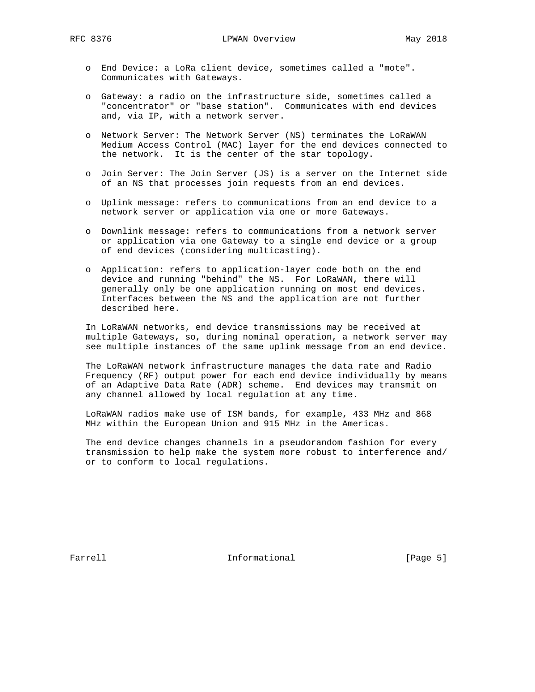- o End Device: a LoRa client device, sometimes called a "mote". Communicates with Gateways.
- o Gateway: a radio on the infrastructure side, sometimes called a "concentrator" or "base station". Communicates with end devices and, via IP, with a network server.
- o Network Server: The Network Server (NS) terminates the LoRaWAN Medium Access Control (MAC) layer for the end devices connected to the network. It is the center of the star topology.
- o Join Server: The Join Server (JS) is a server on the Internet side of an NS that processes join requests from an end devices.
- o Uplink message: refers to communications from an end device to a network server or application via one or more Gateways.
- o Downlink message: refers to communications from a network server or application via one Gateway to a single end device or a group of end devices (considering multicasting).
- o Application: refers to application-layer code both on the end device and running "behind" the NS. For LoRaWAN, there will generally only be one application running on most end devices. Interfaces between the NS and the application are not further described here.

 In LoRaWAN networks, end device transmissions may be received at multiple Gateways, so, during nominal operation, a network server may see multiple instances of the same uplink message from an end device.

 The LoRaWAN network infrastructure manages the data rate and Radio Frequency (RF) output power for each end device individually by means of an Adaptive Data Rate (ADR) scheme. End devices may transmit on any channel allowed by local regulation at any time.

 LoRaWAN radios make use of ISM bands, for example, 433 MHz and 868 MHz within the European Union and 915 MHz in the Americas.

 The end device changes channels in a pseudorandom fashion for every transmission to help make the system more robust to interference and/ or to conform to local regulations.

Farrell **Informational Informational** [Page 5]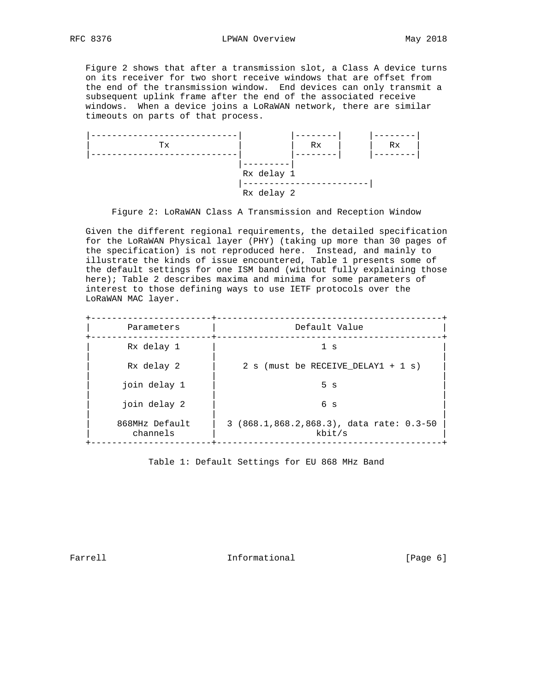Figure 2 shows that after a transmission slot, a Class A device turns on its receiver for two short receive windows that are offset from the end of the transmission window. End devices can only transmit a subsequent uplink frame after the end of the associated receive windows. When a device joins a LoRaWAN network, there are similar timeouts on parts of that process.



Figure 2: LoRaWAN Class A Transmission and Reception Window

 Given the different regional requirements, the detailed specification for the LoRaWAN Physical layer (PHY) (taking up more than 30 pages of the specification) is not reproduced here. Instead, and mainly to illustrate the kinds of issue encountered, Table 1 presents some of the default settings for one ISM band (without fully explaining those here); Table 2 describes maxima and minima for some parameters of interest to those defining ways to use IETF protocols over the LoRaWAN MAC layer.

| Parameters                 | Default Value                                      |  |  |
|----------------------------|----------------------------------------------------|--|--|
| Rx delay 1                 | 1 <sub>s</sub>                                     |  |  |
| Rx delay 2                 | 2 s (must be RECEIVE DELAY1 + 1 s)                 |  |  |
| join delay 1               | 5 <sub>s</sub>                                     |  |  |
| join delay 2               | 6 <sub>s</sub>                                     |  |  |
| 868MHz Default<br>channels | 3 (868.1,868.2,868.3), data rate: 0.3-50<br>kbit/s |  |  |

Table 1: Default Settings for EU 868 MHz Band

Farrell **Informational Informational** [Page 6]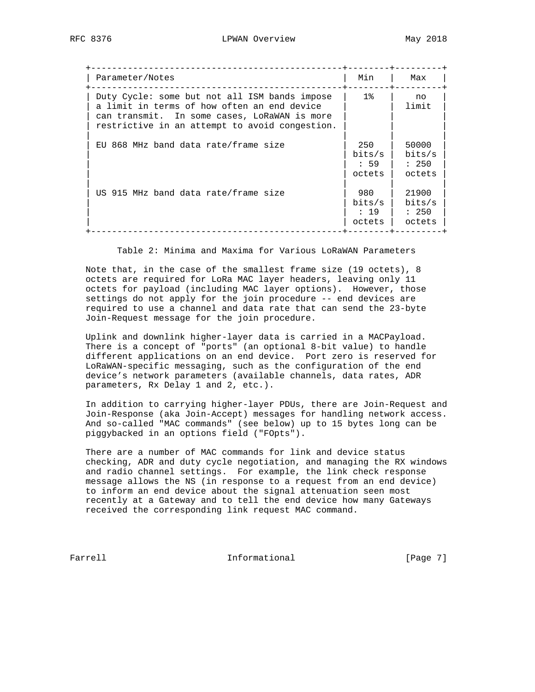| Parameter/Notes                                                                                                                                                                                | Min                             | Max                                |
|------------------------------------------------------------------------------------------------------------------------------------------------------------------------------------------------|---------------------------------|------------------------------------|
| Duty Cycle: some but not all ISM bands impose<br>a limit in terms of how often an end device<br>can transmit. In some cases, LoRaWAN is more<br>restrictive in an attempt to avoid congestion. | $1\,$                           | no<br>limit                        |
| EU 868 MHz band data rate/frame size                                                                                                                                                           | 250<br>bits/s<br>59<br>octets   | 50000<br>bits/s<br>: 250<br>octets |
| US 915 MHz band data rate/frame size                                                                                                                                                           | 980<br>bits/s<br>: 19<br>octets | 21900<br>bits/s<br>: 250<br>octets |

Table 2: Minima and Maxima for Various LoRaWAN Parameters

 Note that, in the case of the smallest frame size (19 octets), 8 octets are required for LoRa MAC layer headers, leaving only 11 octets for payload (including MAC layer options). However, those settings do not apply for the join procedure -- end devices are required to use a channel and data rate that can send the 23-byte Join-Request message for the join procedure.

 Uplink and downlink higher-layer data is carried in a MACPayload. There is a concept of "ports" (an optional 8-bit value) to handle different applications on an end device. Port zero is reserved for LoRaWAN-specific messaging, such as the configuration of the end device's network parameters (available channels, data rates, ADR parameters, Rx Delay 1 and 2, etc.).

 In addition to carrying higher-layer PDUs, there are Join-Request and Join-Response (aka Join-Accept) messages for handling network access. And so-called "MAC commands" (see below) up to 15 bytes long can be piggybacked in an options field ("FOpts").

 There are a number of MAC commands for link and device status checking, ADR and duty cycle negotiation, and managing the RX windows and radio channel settings. For example, the link check response message allows the NS (in response to a request from an end device) to inform an end device about the signal attenuation seen most recently at a Gateway and to tell the end device how many Gateways received the corresponding link request MAC command.

Farrell **Informational Informational** [Page 7]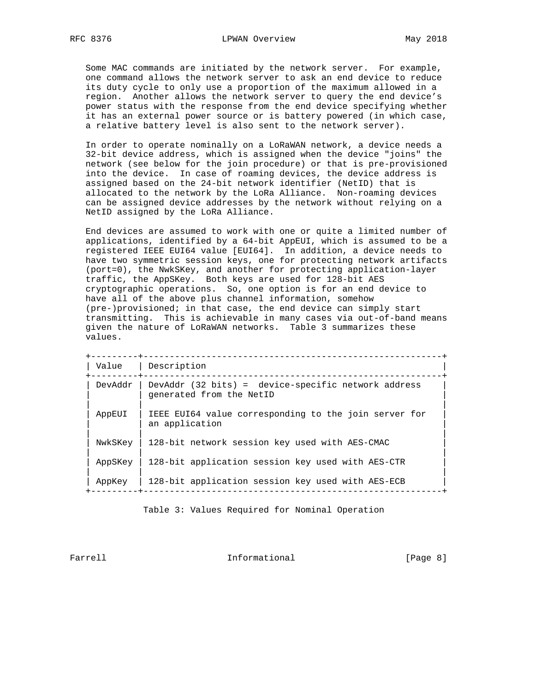Some MAC commands are initiated by the network server. For example, one command allows the network server to ask an end device to reduce its duty cycle to only use a proportion of the maximum allowed in a region. Another allows the network server to query the end device's power status with the response from the end device specifying whether it has an external power source or is battery powered (in which case, a relative battery level is also sent to the network server).

 In order to operate nominally on a LoRaWAN network, a device needs a 32-bit device address, which is assigned when the device "joins" the network (see below for the join procedure) or that is pre-provisioned into the device. In case of roaming devices, the device address is assigned based on the 24-bit network identifier (NetID) that is allocated to the network by the LoRa Alliance. Non-roaming devices can be assigned device addresses by the network without relying on a NetID assigned by the LoRa Alliance.

 End devices are assumed to work with one or quite a limited number of applications, identified by a 64-bit AppEUI, which is assumed to be a registered IEEE EUI64 value [EUI64]. In addition, a device needs to have two symmetric session keys, one for protecting network artifacts (port=0), the NwkSKey, and another for protecting application-layer traffic, the AppSKey. Both keys are used for 128-bit AES cryptographic operations. So, one option is for an end device to have all of the above plus channel information, somehow (pre-)provisioned; in that case, the end device can simply start transmitting. This is achievable in many cases via out-of-band means given the nature of LoRaWAN networks. Table 3 summarizes these values.

|         | __________________________________                                              |  |
|---------|---------------------------------------------------------------------------------|--|
| Value   | Description                                                                     |  |
| DevAddr | DevAddr (32 bits) = device-specific network address<br>generated from the NetID |  |
| AppEUI  | IEEE EUI64 value corresponding to the join server for<br>an application         |  |
| NwkSKey | 128-bit network session key used with AES-CMAC                                  |  |
| AppSKey | 128-bit application session key used with AES-CTR                               |  |
| AppKey  | 128-bit application session key used with AES-ECB                               |  |

Table 3: Values Required for Nominal Operation

Farrell **Informational Informational** [Page 8]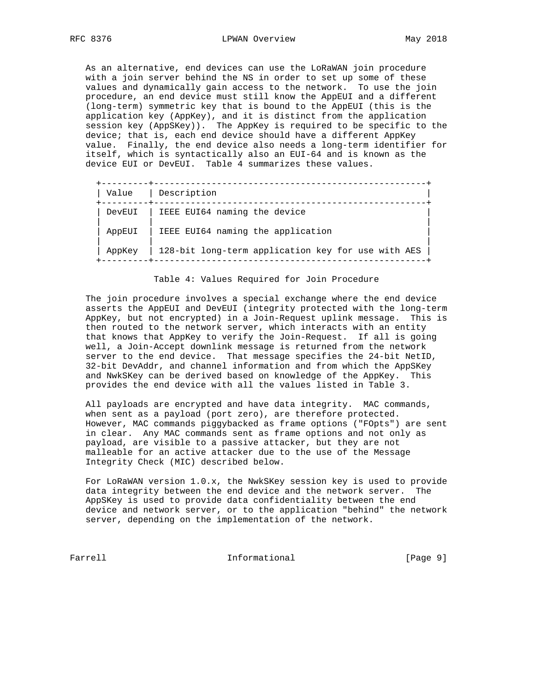As an alternative, end devices can use the LoRaWAN join procedure with a join server behind the NS in order to set up some of these values and dynamically gain access to the network. To use the join procedure, an end device must still know the AppEUI and a different (long-term) symmetric key that is bound to the AppEUI (this is the application key (AppKey), and it is distinct from the application session key (AppSKey)). The AppKey is required to be specific to the device; that is, each end device should have a different AppKey value. Finally, the end device also needs a long-term identifier for itself, which is syntactically also an EUI-64 and is known as the device EUI or DevEUI. Table 4 summarizes these values.

| Value  | Description                                        |
|--------|----------------------------------------------------|
| DevEUI | IEEE EUI64 naming the device                       |
| AppEUI | IEEE EUI64 naming the application                  |
| AppKey | 128-bit long-term application key for use with AES |

Table 4: Values Required for Join Procedure

 The join procedure involves a special exchange where the end device asserts the AppEUI and DevEUI (integrity protected with the long-term AppKey, but not encrypted) in a Join-Request uplink message. This is then routed to the network server, which interacts with an entity that knows that AppKey to verify the Join-Request. If all is going well, a Join-Accept downlink message is returned from the network server to the end device. That message specifies the 24-bit NetID, 32-bit DevAddr, and channel information and from which the AppSKey and NwkSKey can be derived based on knowledge of the AppKey. This provides the end device with all the values listed in Table 3.

 All payloads are encrypted and have data integrity. MAC commands, when sent as a payload (port zero), are therefore protected. However, MAC commands piggybacked as frame options ("FOpts") are sent in clear. Any MAC commands sent as frame options and not only as payload, are visible to a passive attacker, but they are not malleable for an active attacker due to the use of the Message Integrity Check (MIC) described below.

 For LoRaWAN version 1.0.x, the NwkSKey session key is used to provide data integrity between the end device and the network server. The AppSKey is used to provide data confidentiality between the end device and network server, or to the application "behind" the network server, depending on the implementation of the network.

Farrell **Informational Informational** [Page 9]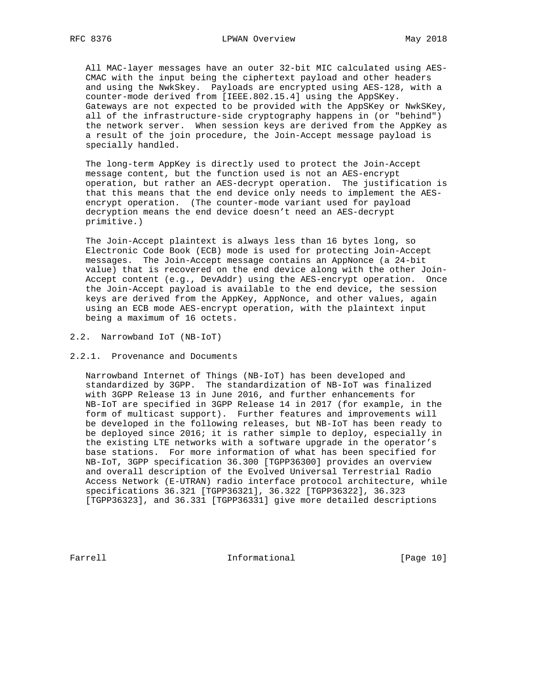All MAC-layer messages have an outer 32-bit MIC calculated using AES- CMAC with the input being the ciphertext payload and other headers and using the NwkSkey. Payloads are encrypted using AES-128, with a counter-mode derived from [IEEE.802.15.4] using the AppSKey. Gateways are not expected to be provided with the AppSKey or NwkSKey, all of the infrastructure-side cryptography happens in (or "behind") the network server. When session keys are derived from the AppKey as a result of the join procedure, the Join-Accept message payload is specially handled.

 The long-term AppKey is directly used to protect the Join-Accept message content, but the function used is not an AES-encrypt operation, but rather an AES-decrypt operation. The justification is that this means that the end device only needs to implement the AES encrypt operation. (The counter-mode variant used for payload decryption means the end device doesn't need an AES-decrypt primitive.)

 The Join-Accept plaintext is always less than 16 bytes long, so Electronic Code Book (ECB) mode is used for protecting Join-Accept messages. The Join-Accept message contains an AppNonce (a 24-bit value) that is recovered on the end device along with the other Join- Accept content (e.g., DevAddr) using the AES-encrypt operation. Once the Join-Accept payload is available to the end device, the session keys are derived from the AppKey, AppNonce, and other values, again using an ECB mode AES-encrypt operation, with the plaintext input being a maximum of 16 octets.

#### 2.2. Narrowband IoT (NB-IoT)

### 2.2.1. Provenance and Documents

 Narrowband Internet of Things (NB-IoT) has been developed and standardized by 3GPP. The standardization of NB-IoT was finalized with 3GPP Release 13 in June 2016, and further enhancements for NB-IoT are specified in 3GPP Release 14 in 2017 (for example, in the form of multicast support). Further features and improvements will be developed in the following releases, but NB-IoT has been ready to be deployed since 2016; it is rather simple to deploy, especially in the existing LTE networks with a software upgrade in the operator's base stations. For more information of what has been specified for NB-IoT, 3GPP specification 36.300 [TGPP36300] provides an overview and overall description of the Evolved Universal Terrestrial Radio Access Network (E-UTRAN) radio interface protocol architecture, while specifications 36.321 [TGPP36321], 36.322 [TGPP36322], 36.323 [TGPP36323], and 36.331 [TGPP36331] give more detailed descriptions

Farrell **Informational** [Page 10]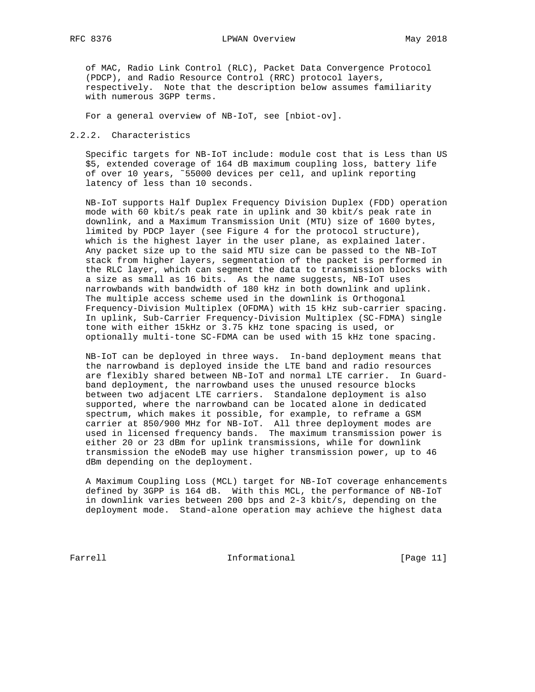of MAC, Radio Link Control (RLC), Packet Data Convergence Protocol (PDCP), and Radio Resource Control (RRC) protocol layers, respectively. Note that the description below assumes familiarity with numerous 3GPP terms.

For a general overview of NB-IoT, see [nbiot-ov].

2.2.2. Characteristics

 Specific targets for NB-IoT include: module cost that is Less than US \$5, extended coverage of 164 dB maximum coupling loss, battery life of over 10 years, ˜55000 devices per cell, and uplink reporting latency of less than 10 seconds.

 NB-IoT supports Half Duplex Frequency Division Duplex (FDD) operation mode with 60 kbit/s peak rate in uplink and 30 kbit/s peak rate in downlink, and a Maximum Transmission Unit (MTU) size of 1600 bytes, limited by PDCP layer (see Figure 4 for the protocol structure), which is the highest layer in the user plane, as explained later. Any packet size up to the said MTU size can be passed to the NB-IoT stack from higher layers, segmentation of the packet is performed in the RLC layer, which can segment the data to transmission blocks with a size as small as 16 bits. As the name suggests, NB-IoT uses narrowbands with bandwidth of 180 kHz in both downlink and uplink. The multiple access scheme used in the downlink is Orthogonal Frequency-Division Multiplex (OFDMA) with 15 kHz sub-carrier spacing. In uplink, Sub-Carrier Frequency-Division Multiplex (SC-FDMA) single tone with either 15kHz or 3.75 kHz tone spacing is used, or optionally multi-tone SC-FDMA can be used with 15 kHz tone spacing.

 NB-IoT can be deployed in three ways. In-band deployment means that the narrowband is deployed inside the LTE band and radio resources are flexibly shared between NB-IoT and normal LTE carrier. In Guard band deployment, the narrowband uses the unused resource blocks between two adjacent LTE carriers. Standalone deployment is also supported, where the narrowband can be located alone in dedicated spectrum, which makes it possible, for example, to reframe a GSM carrier at 850/900 MHz for NB-IoT. All three deployment modes are used in licensed frequency bands. The maximum transmission power is either 20 or 23 dBm for uplink transmissions, while for downlink transmission the eNodeB may use higher transmission power, up to 46 dBm depending on the deployment.

 A Maximum Coupling Loss (MCL) target for NB-IoT coverage enhancements defined by 3GPP is 164 dB. With this MCL, the performance of NB-IoT in downlink varies between 200 bps and 2-3 kbit/s, depending on the deployment mode. Stand-alone operation may achieve the highest data

Farrell **Informational Informational** [Page 11]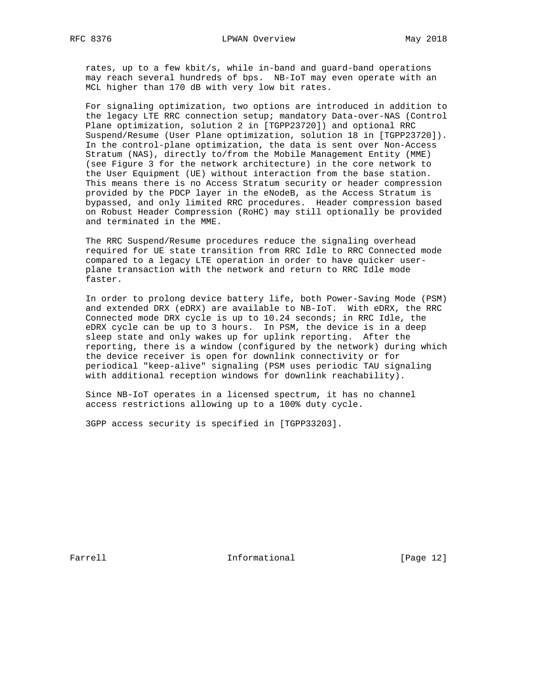rates, up to a few kbit/s, while in-band and guard-band operations may reach several hundreds of bps. NB-IoT may even operate with an MCL higher than 170 dB with very low bit rates.

 For signaling optimization, two options are introduced in addition to the legacy LTE RRC connection setup; mandatory Data-over-NAS (Control Plane optimization, solution 2 in [TGPP23720]) and optional RRC Suspend/Resume (User Plane optimization, solution 18 in [TGPP23720]). In the control-plane optimization, the data is sent over Non-Access Stratum (NAS), directly to/from the Mobile Management Entity (MME) (see Figure 3 for the network architecture) in the core network to the User Equipment (UE) without interaction from the base station. This means there is no Access Stratum security or header compression provided by the PDCP layer in the eNodeB, as the Access Stratum is bypassed, and only limited RRC procedures. Header compression based on Robust Header Compression (RoHC) may still optionally be provided and terminated in the MME.

 The RRC Suspend/Resume procedures reduce the signaling overhead required for UE state transition from RRC Idle to RRC Connected mode compared to a legacy LTE operation in order to have quicker user plane transaction with the network and return to RRC Idle mode faster.

 In order to prolong device battery life, both Power-Saving Mode (PSM) and extended DRX (eDRX) are available to NB-IoT. With eDRX, the RRC Connected mode DRX cycle is up to 10.24 seconds; in RRC Idle, the eDRX cycle can be up to 3 hours. In PSM, the device is in a deep sleep state and only wakes up for uplink reporting. After the reporting, there is a window (configured by the network) during which the device receiver is open for downlink connectivity or for periodical "keep-alive" signaling (PSM uses periodic TAU signaling with additional reception windows for downlink reachability).

 Since NB-IoT operates in a licensed spectrum, it has no channel access restrictions allowing up to a 100% duty cycle.

3GPP access security is specified in [TGPP33203].

Farrell **Informational** [Page 12]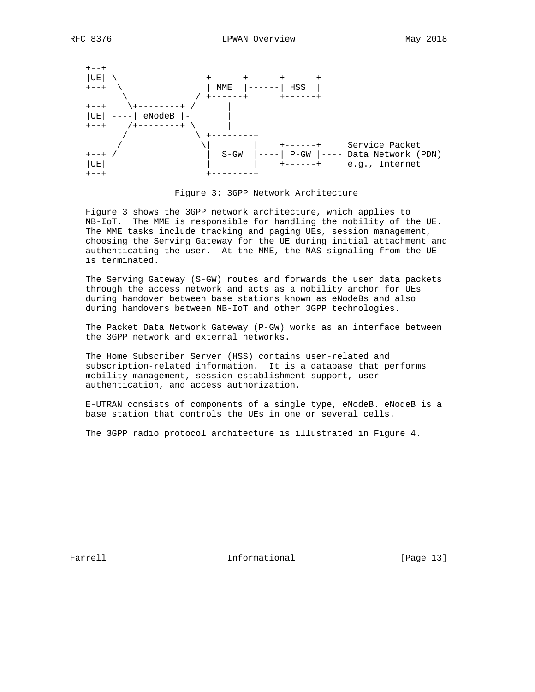





 Figure 3 shows the 3GPP network architecture, which applies to NB-IoT. The MME is responsible for handling the mobility of the UE. The MME tasks include tracking and paging UEs, session management, choosing the Serving Gateway for the UE during initial attachment and authenticating the user. At the MME, the NAS signaling from the UE is terminated.

 The Serving Gateway (S-GW) routes and forwards the user data packets through the access network and acts as a mobility anchor for UEs during handover between base stations known as eNodeBs and also during handovers between NB-IoT and other 3GPP technologies.

 The Packet Data Network Gateway (P-GW) works as an interface between the 3GPP network and external networks.

 The Home Subscriber Server (HSS) contains user-related and subscription-related information. It is a database that performs mobility management, session-establishment support, user authentication, and access authorization.

 E-UTRAN consists of components of a single type, eNodeB. eNodeB is a base station that controls the UEs in one or several cells.

The 3GPP radio protocol architecture is illustrated in Figure 4.

Farrell **Informational** [Page 13]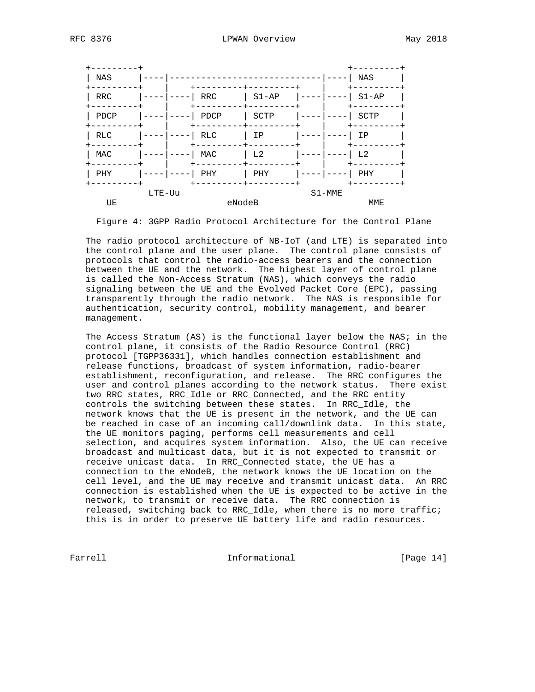| NAS        |        |            |           |            | NAS            |
|------------|--------|------------|-----------|------------|----------------|
| <b>RRC</b> |        | RRC        | $S1 - AP$ |            | $S1-AP$        |
| PDCP       |        | PDCP       | SCTP      |            | SCTP           |
| RLC        |        | <b>RLC</b> | ΙP        |            | IP             |
| MAC        |        | MAC        | L2        |            | L <sub>2</sub> |
| PHY        |        | PHY        | PHY       |            | PHY            |
|            | LTE-Uu |            |           | $S1 - MME$ |                |
| UE         |        | eNodeB     |           |            | MME            |

Figure 4: 3GPP Radio Protocol Architecture for the Control Plane

 The radio protocol architecture of NB-IoT (and LTE) is separated into the control plane and the user plane. The control plane consists of protocols that control the radio-access bearers and the connection between the UE and the network. The highest layer of control plane is called the Non-Access Stratum (NAS), which conveys the radio signaling between the UE and the Evolved Packet Core (EPC), passing transparently through the radio network. The NAS is responsible for authentication, security control, mobility management, and bearer management.

 The Access Stratum (AS) is the functional layer below the NAS; in the control plane, it consists of the Radio Resource Control (RRC) protocol [TGPP36331], which handles connection establishment and release functions, broadcast of system information, radio-bearer establishment, reconfiguration, and release. The RRC configures the user and control planes according to the network status. There exist two RRC states, RRC\_Idle or RRC\_Connected, and the RRC entity controls the switching between these states. In RRC\_Idle, the network knows that the UE is present in the network, and the UE can be reached in case of an incoming call/downlink data. In this state, the UE monitors paging, performs cell measurements and cell selection, and acquires system information. Also, the UE can receive broadcast and multicast data, but it is not expected to transmit or receive unicast data. In RRC\_Connected state, the UE has a connection to the eNodeB, the network knows the UE location on the cell level, and the UE may receive and transmit unicast data. An RRC connection is established when the UE is expected to be active in the network, to transmit or receive data. The RRC connection is released, switching back to RRC\_Idle, when there is no more traffic; this is in order to preserve UE battery life and radio resources.

Farrell **Informational Informational** [Page 14]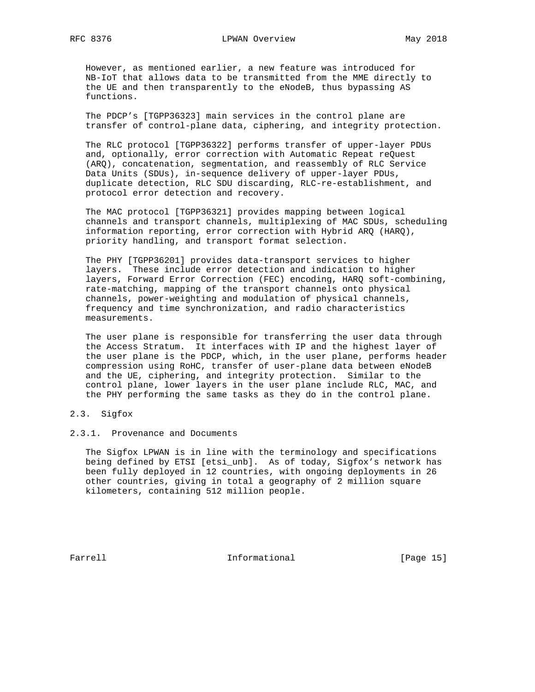However, as mentioned earlier, a new feature was introduced for NB-IoT that allows data to be transmitted from the MME directly to the UE and then transparently to the eNodeB, thus bypassing AS functions.

 The PDCP's [TGPP36323] main services in the control plane are transfer of control-plane data, ciphering, and integrity protection.

 The RLC protocol [TGPP36322] performs transfer of upper-layer PDUs and, optionally, error correction with Automatic Repeat reQuest (ARQ), concatenation, segmentation, and reassembly of RLC Service Data Units (SDUs), in-sequence delivery of upper-layer PDUs, duplicate detection, RLC SDU discarding, RLC-re-establishment, and protocol error detection and recovery.

 The MAC protocol [TGPP36321] provides mapping between logical channels and transport channels, multiplexing of MAC SDUs, scheduling information reporting, error correction with Hybrid ARQ (HARQ), priority handling, and transport format selection.

 The PHY [TGPP36201] provides data-transport services to higher layers. These include error detection and indication to higher layers, Forward Error Correction (FEC) encoding, HARQ soft-combining, rate-matching, mapping of the transport channels onto physical channels, power-weighting and modulation of physical channels, frequency and time synchronization, and radio characteristics measurements.

 The user plane is responsible for transferring the user data through the Access Stratum. It interfaces with IP and the highest layer of the user plane is the PDCP, which, in the user plane, performs header compression using RoHC, transfer of user-plane data between eNodeB and the UE, ciphering, and integrity protection. Similar to the control plane, lower layers in the user plane include RLC, MAC, and the PHY performing the same tasks as they do in the control plane.

- 2.3. Sigfox
- 2.3.1. Provenance and Documents

 The Sigfox LPWAN is in line with the terminology and specifications being defined by ETSI [etsi\_unb]. As of today, Sigfox's network has been fully deployed in 12 countries, with ongoing deployments in 26 other countries, giving in total a geography of 2 million square kilometers, containing 512 million people.

Farrell **Informational Informational** [Page 15]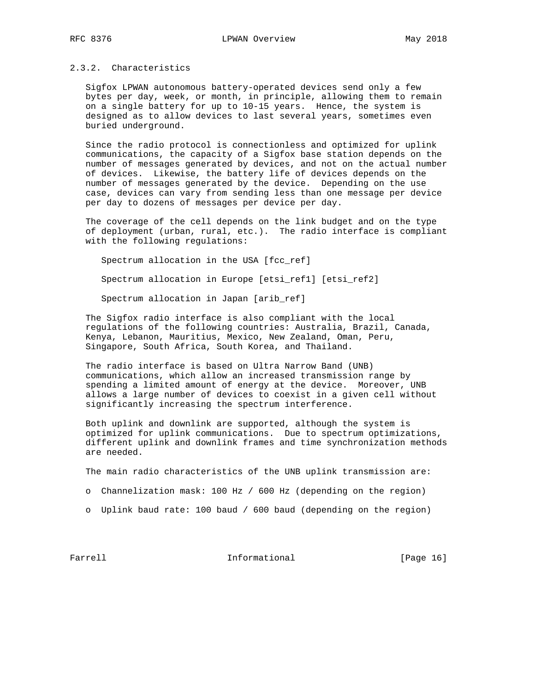## 2.3.2. Characteristics

 Sigfox LPWAN autonomous battery-operated devices send only a few bytes per day, week, or month, in principle, allowing them to remain on a single battery for up to 10-15 years. Hence, the system is designed as to allow devices to last several years, sometimes even buried underground.

 Since the radio protocol is connectionless and optimized for uplink communications, the capacity of a Sigfox base station depends on the number of messages generated by devices, and not on the actual number of devices. Likewise, the battery life of devices depends on the number of messages generated by the device. Depending on the use case, devices can vary from sending less than one message per device per day to dozens of messages per device per day.

 The coverage of the cell depends on the link budget and on the type of deployment (urban, rural, etc.). The radio interface is compliant with the following regulations:

 Spectrum allocation in the USA [fcc\_ref] Spectrum allocation in Europe [etsi\_ref1] [etsi\_ref2] Spectrum allocation in Japan [arib\_ref]

 The Sigfox radio interface is also compliant with the local regulations of the following countries: Australia, Brazil, Canada, Kenya, Lebanon, Mauritius, Mexico, New Zealand, Oman, Peru, Singapore, South Africa, South Korea, and Thailand.

 The radio interface is based on Ultra Narrow Band (UNB) communications, which allow an increased transmission range by spending a limited amount of energy at the device. Moreover, UNB allows a large number of devices to coexist in a given cell without significantly increasing the spectrum interference.

 Both uplink and downlink are supported, although the system is optimized for uplink communications. Due to spectrum optimizations, different uplink and downlink frames and time synchronization methods are needed.

The main radio characteristics of the UNB uplink transmission are:

- o Channelization mask: 100 Hz / 600 Hz (depending on the region)
- o Uplink baud rate: 100 baud / 600 baud (depending on the region)

Farrell **Informational Informational** [Page 16]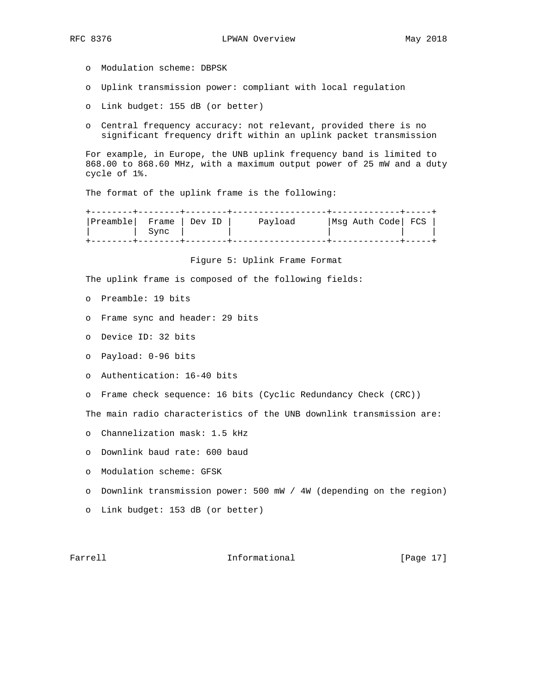- - o Modulation scheme: DBPSK
	- o Uplink transmission power: compliant with local regulation
	- o Link budget: 155 dB (or better)
	- o Central frequency accuracy: not relevant, provided there is no significant frequency drift within an uplink packet transmission

 For example, in Europe, the UNB uplink frequency band is limited to 868.00 to 868.60 MHz, with a maximum output power of 25 mW and a duty cycle of 1%.

The format of the uplink frame is the following:

| Preamble  Frame   Dev ID | ` Sync | Payload |  | Msg Auth Code  FCS |  |
|--------------------------|--------|---------|--|--------------------|--|
|                          |        |         |  |                    |  |

Figure 5: Uplink Frame Format

The uplink frame is composed of the following fields:

- o Preamble: 19 bits
- o Frame sync and header: 29 bits
- o Device ID: 32 bits
- o Payload: 0-96 bits
- o Authentication: 16-40 bits
- o Frame check sequence: 16 bits (Cyclic Redundancy Check (CRC))

The main radio characteristics of the UNB downlink transmission are:

- o Channelization mask: 1.5 kHz
- o Downlink baud rate: 600 baud
- o Modulation scheme: GFSK
- o Downlink transmission power: 500 mW / 4W (depending on the region)
- o Link budget: 153 dB (or better)

### Farrell **Informational** [Page 17]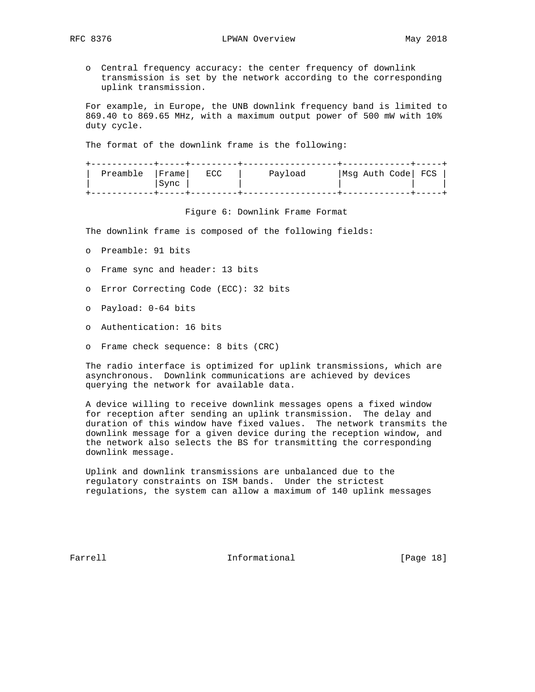- - o Central frequency accuracy: the center frequency of downlink transmission is set by the network according to the corresponding uplink transmission.

 For example, in Europe, the UNB downlink frequency band is limited to 869.40 to 869.65 MHz, with a maximum output power of 500 mW with 10% duty cycle.

The format of the downlink frame is the following:

| Preamble   Frame | Sync | ECC | Payload | Msg Auth Code  FCS |  |
|------------------|------|-----|---------|--------------------|--|
|                  |      |     |         |                    |  |

Figure 6: Downlink Frame Format

The downlink frame is composed of the following fields:

- o Preamble: 91 bits
- o Frame sync and header: 13 bits
- o Error Correcting Code (ECC): 32 bits
- o Payload: 0-64 bits
- o Authentication: 16 bits
- o Frame check sequence: 8 bits (CRC)

 The radio interface is optimized for uplink transmissions, which are asynchronous. Downlink communications are achieved by devices querying the network for available data.

 A device willing to receive downlink messages opens a fixed window for reception after sending an uplink transmission. The delay and duration of this window have fixed values. The network transmits the downlink message for a given device during the reception window, and the network also selects the BS for transmitting the corresponding downlink message.

 Uplink and downlink transmissions are unbalanced due to the regulatory constraints on ISM bands. Under the strictest regulations, the system can allow a maximum of 140 uplink messages

Farrell **Informational** [Page 18]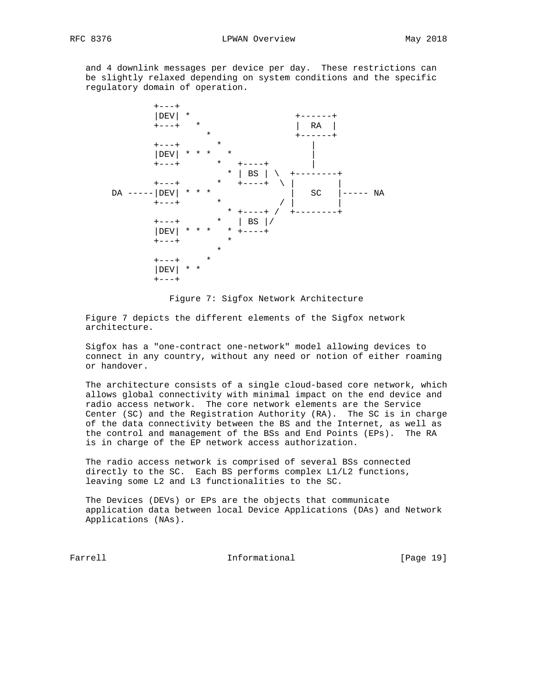and 4 downlink messages per device per day. These restrictions can be slightly relaxed depending on system conditions and the specific regulatory domain of operation.



Figure 7: Sigfox Network Architecture

 Figure 7 depicts the different elements of the Sigfox network architecture.

 Sigfox has a "one-contract one-network" model allowing devices to connect in any country, without any need or notion of either roaming or handover.

 The architecture consists of a single cloud-based core network, which allows global connectivity with minimal impact on the end device and radio access network. The core network elements are the Service Center (SC) and the Registration Authority (RA). The SC is in charge of the data connectivity between the BS and the Internet, as well as the control and management of the BSs and End Points (EPs). The RA is in charge of the EP network access authorization.

 The radio access network is comprised of several BSs connected directly to the SC. Each BS performs complex L1/L2 functions, leaving some L2 and L3 functionalities to the SC.

 The Devices (DEVs) or EPs are the objects that communicate application data between local Device Applications (DAs) and Network Applications (NAs).

Farrell **Informational** [Page 19]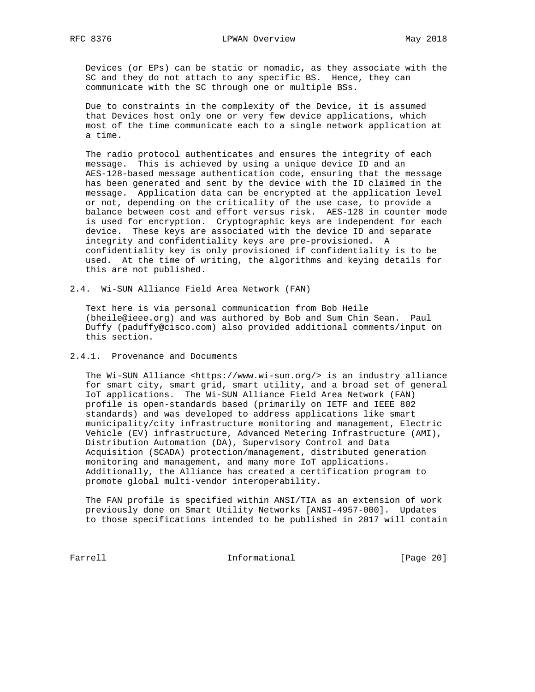Devices (or EPs) can be static or nomadic, as they associate with the SC and they do not attach to any specific BS. Hence, they can communicate with the SC through one or multiple BSs.

 Due to constraints in the complexity of the Device, it is assumed that Devices host only one or very few device applications, which most of the time communicate each to a single network application at a time.

 The radio protocol authenticates and ensures the integrity of each message. This is achieved by using a unique device ID and an AES-128-based message authentication code, ensuring that the message has been generated and sent by the device with the ID claimed in the message. Application data can be encrypted at the application level or not, depending on the criticality of the use case, to provide a balance between cost and effort versus risk. AES-128 in counter mode is used for encryption. Cryptographic keys are independent for each device. These keys are associated with the device ID and separate integrity and confidentiality keys are pre-provisioned. A confidentiality key is only provisioned if confidentiality is to be used. At the time of writing, the algorithms and keying details for this are not published.

2.4. Wi-SUN Alliance Field Area Network (FAN)

 Text here is via personal communication from Bob Heile (bheile@ieee.org) and was authored by Bob and Sum Chin Sean. Paul Duffy (paduffy@cisco.com) also provided additional comments/input on this section.

#### 2.4.1. Provenance and Documents

 The Wi-SUN Alliance <https://www.wi-sun.org/> is an industry alliance for smart city, smart grid, smart utility, and a broad set of general IoT applications. The Wi-SUN Alliance Field Area Network (FAN) profile is open-standards based (primarily on IETF and IEEE 802 standards) and was developed to address applications like smart municipality/city infrastructure monitoring and management, Electric Vehicle (EV) infrastructure, Advanced Metering Infrastructure (AMI), Distribution Automation (DA), Supervisory Control and Data Acquisition (SCADA) protection/management, distributed generation monitoring and management, and many more IoT applications. Additionally, the Alliance has created a certification program to promote global multi-vendor interoperability.

 The FAN profile is specified within ANSI/TIA as an extension of work previously done on Smart Utility Networks [ANSI-4957-000]. Updates to those specifications intended to be published in 2017 will contain

Farrell **Informational Informational** [Page 20]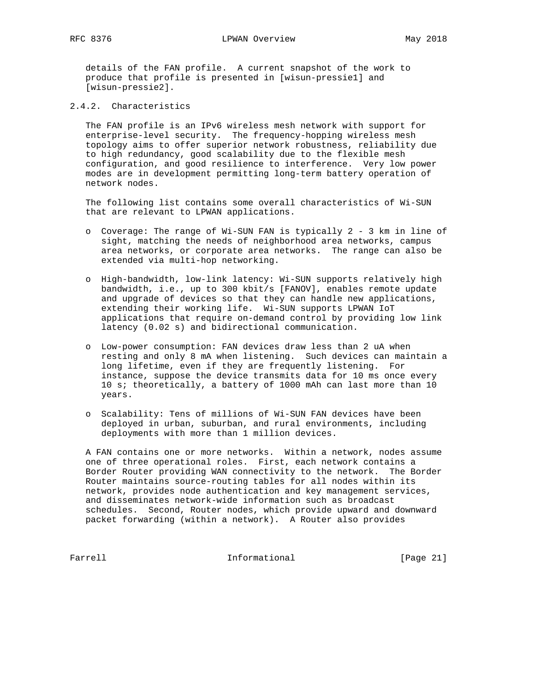details of the FAN profile. A current snapshot of the work to produce that profile is presented in [wisun-pressie1] and [wisun-pressie2].

# 2.4.2. Characteristics

 The FAN profile is an IPv6 wireless mesh network with support for enterprise-level security. The frequency-hopping wireless mesh topology aims to offer superior network robustness, reliability due to high redundancy, good scalability due to the flexible mesh configuration, and good resilience to interference. Very low power modes are in development permitting long-term battery operation of network nodes.

 The following list contains some overall characteristics of Wi-SUN that are relevant to LPWAN applications.

- o Coverage: The range of Wi-SUN FAN is typically 2 3 km in line of sight, matching the needs of neighborhood area networks, campus area networks, or corporate area networks. The range can also be extended via multi-hop networking.
- o High-bandwidth, low-link latency: Wi-SUN supports relatively high bandwidth, i.e., up to 300 kbit/s [FANOV], enables remote update and upgrade of devices so that they can handle new applications, extending their working life. Wi-SUN supports LPWAN IoT applications that require on-demand control by providing low link latency (0.02 s) and bidirectional communication.
- o Low-power consumption: FAN devices draw less than 2 uA when resting and only 8 mA when listening. Such devices can maintain a long lifetime, even if they are frequently listening. For instance, suppose the device transmits data for 10 ms once every 10 s; theoretically, a battery of 1000 mAh can last more than 10 years.
- o Scalability: Tens of millions of Wi-SUN FAN devices have been deployed in urban, suburban, and rural environments, including deployments with more than 1 million devices.

 A FAN contains one or more networks. Within a network, nodes assume one of three operational roles. First, each network contains a Border Router providing WAN connectivity to the network. The Border Router maintains source-routing tables for all nodes within its network, provides node authentication and key management services, and disseminates network-wide information such as broadcast schedules. Second, Router nodes, which provide upward and downward packet forwarding (within a network). A Router also provides

Farrell **Informational Informational** [Page 21]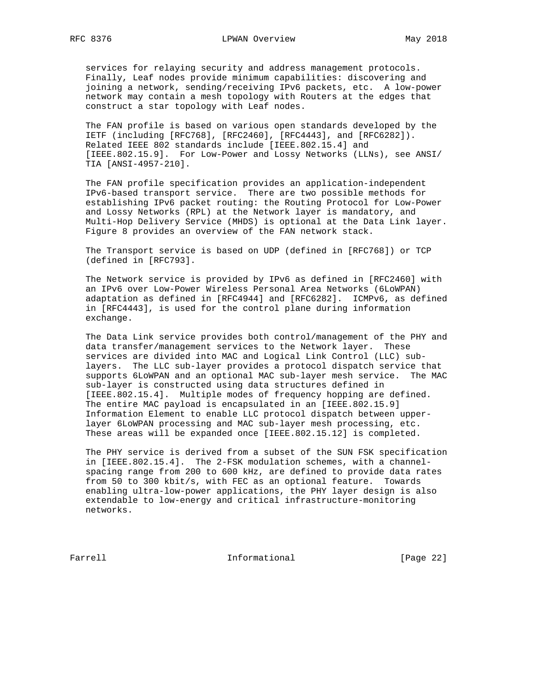services for relaying security and address management protocols. Finally, Leaf nodes provide minimum capabilities: discovering and joining a network, sending/receiving IPv6 packets, etc. A low-power network may contain a mesh topology with Routers at the edges that construct a star topology with Leaf nodes.

 The FAN profile is based on various open standards developed by the IETF (including [RFC768], [RFC2460], [RFC4443], and [RFC6282]). Related IEEE 802 standards include [IEEE.802.15.4] and [IEEE.802.15.9]. For Low-Power and Lossy Networks (LLNs), see ANSI/ TIA [ANSI-4957-210].

 The FAN profile specification provides an application-independent IPv6-based transport service. There are two possible methods for establishing IPv6 packet routing: the Routing Protocol for Low-Power and Lossy Networks (RPL) at the Network layer is mandatory, and Multi-Hop Delivery Service (MHDS) is optional at the Data Link layer. Figure 8 provides an overview of the FAN network stack.

 The Transport service is based on UDP (defined in [RFC768]) or TCP (defined in [RFC793].

 The Network service is provided by IPv6 as defined in [RFC2460] with an IPv6 over Low-Power Wireless Personal Area Networks (6LoWPAN) adaptation as defined in [RFC4944] and [RFC6282]. ICMPv6, as defined in [RFC4443], is used for the control plane during information exchange.

 The Data Link service provides both control/management of the PHY and data transfer/management services to the Network layer. These services are divided into MAC and Logical Link Control (LLC) sub layers. The LLC sub-layer provides a protocol dispatch service that supports 6LoWPAN and an optional MAC sub-layer mesh service. The MAC sub-layer is constructed using data structures defined in [IEEE.802.15.4]. Multiple modes of frequency hopping are defined. The entire MAC payload is encapsulated in an [IEEE.802.15.9] Information Element to enable LLC protocol dispatch between upper layer 6LoWPAN processing and MAC sub-layer mesh processing, etc. These areas will be expanded once [IEEE.802.15.12] is completed.

 The PHY service is derived from a subset of the SUN FSK specification in [IEEE.802.15.4]. The 2-FSK modulation schemes, with a channel spacing range from 200 to 600 kHz, are defined to provide data rates from 50 to 300 kbit/s, with FEC as an optional feature. Towards enabling ultra-low-power applications, the PHY layer design is also extendable to low-energy and critical infrastructure-monitoring networks.

Farrell **Informational Informational** [Page 22]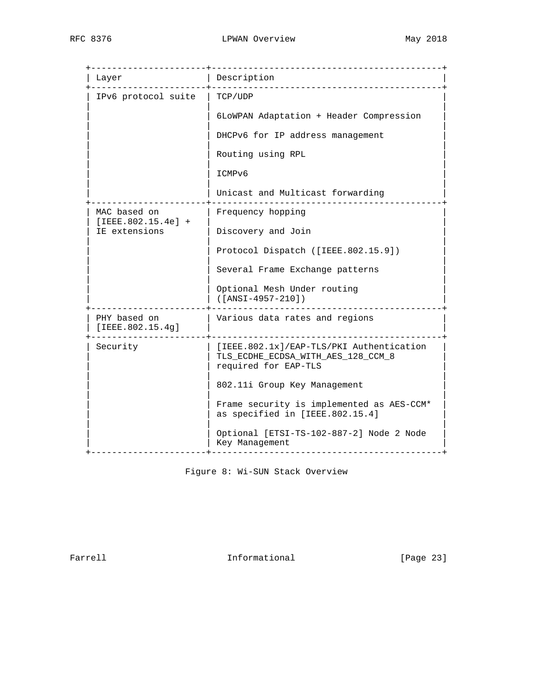| Layer                                | Description                                                                                            |
|--------------------------------------|--------------------------------------------------------------------------------------------------------|
| IPv6 protocol suite                  | TCP/UDP                                                                                                |
|                                      | 6LOWPAN Adaptation + Header Compression                                                                |
|                                      | DHCPv6 for IP address management                                                                       |
|                                      | Routing using RPL                                                                                      |
|                                      | ICMPv6                                                                                                 |
|                                      | Unicast and Multicast forwarding                                                                       |
| MAC based on<br>$[IEEE.802.15.4e] +$ | Frequency hopping                                                                                      |
| IE extensions                        | Discovery and Join                                                                                     |
|                                      | Protocol Dispatch ([IEEE.802.15.9])                                                                    |
|                                      | Several Frame Exchange patterns                                                                        |
|                                      | Optional Mesh Under routing<br>([ANSI-4957-210])                                                       |
| PHY based on<br>[IEEE.802.15.4g]     | Various data rates and regions                                                                         |
| Security                             | [IEEE.802.1x]/EAP-TLS/PKI Authentication<br>TLS_ECDHE_ECDSA_WITH_AES_128_CCM_8<br>required for EAP-TLS |
|                                      | 802.11i Group Key Management                                                                           |
|                                      | Frame security is implemented as AES-CCM*<br>as specified in [IEEE.802.15.4]                           |
|                                      | Optional [ETSI-TS-102-887-2] Node 2 Node<br>Key Management                                             |

Figure 8: Wi-SUN Stack Overview

Farrell **Informational Informational** [Page 23]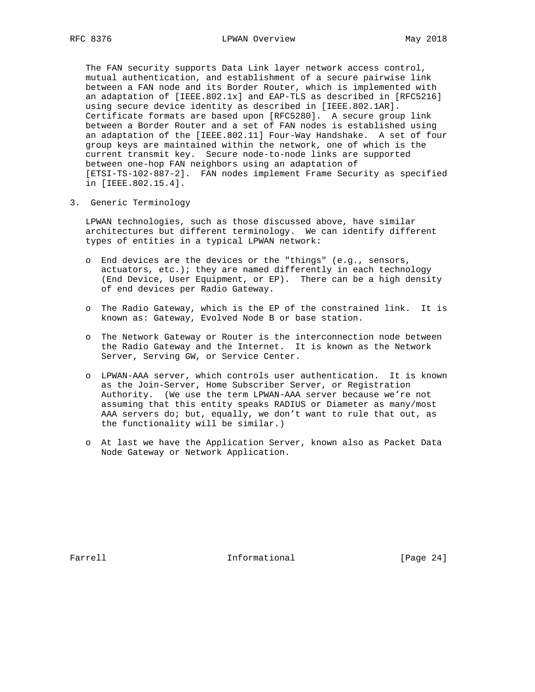The FAN security supports Data Link layer network access control, mutual authentication, and establishment of a secure pairwise link between a FAN node and its Border Router, which is implemented with an adaptation of [IEEE.802.1x] and EAP-TLS as described in [RFC5216] using secure device identity as described in [IEEE.802.1AR]. Certificate formats are based upon [RFC5280]. A secure group link between a Border Router and a set of FAN nodes is established using an adaptation of the [IEEE.802.11] Four-Way Handshake. A set of four group keys are maintained within the network, one of which is the current transmit key. Secure node-to-node links are supported between one-hop FAN neighbors using an adaptation of [ETSI-TS-102-887-2]. FAN nodes implement Frame Security as specified in [IEEE.802.15.4].

3. Generic Terminology

 LPWAN technologies, such as those discussed above, have similar architectures but different terminology. We can identify different types of entities in a typical LPWAN network:

- o End devices are the devices or the "things" (e.g., sensors, actuators, etc.); they are named differently in each technology (End Device, User Equipment, or EP). There can be a high density of end devices per Radio Gateway.
- o The Radio Gateway, which is the EP of the constrained link. It is known as: Gateway, Evolved Node B or base station.
- o The Network Gateway or Router is the interconnection node between the Radio Gateway and the Internet. It is known as the Network Server, Serving GW, or Service Center.
- o LPWAN-AAA server, which controls user authentication. It is known as the Join-Server, Home Subscriber Server, or Registration Authority. (We use the term LPWAN-AAA server because we're not assuming that this entity speaks RADIUS or Diameter as many/most AAA servers do; but, equally, we don't want to rule that out, as the functionality will be similar.)
- o At last we have the Application Server, known also as Packet Data Node Gateway or Network Application.

Farrell **Informational Informational** [Page 24]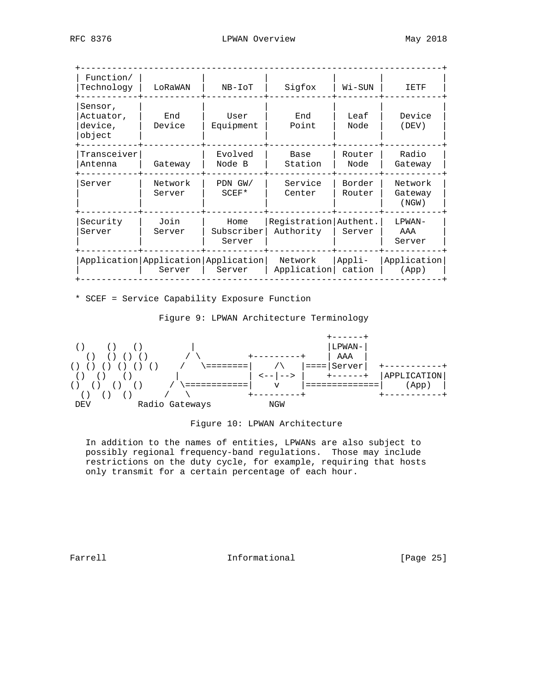| Function/<br>Technology                   | LoRaWAN                                       | NB-IoT                       | Sigfox                             | Wi-SUN           | 工民工民                          |
|-------------------------------------------|-----------------------------------------------|------------------------------|------------------------------------|------------------|-------------------------------|
| Sensor,<br>Actuator,<br>device,<br>object | End<br>Device                                 | User<br>Equipment            | End<br>Point                       | Leaf<br>Node     | Device<br>(DEV)               |
| Transceiver<br>Antenna                    | Gateway                                       | Evolved<br>Node B            | Base<br>Station                    | Router<br>Node   | Radio<br>Gateway              |
| Server                                    | Network<br>Server                             | PDN GW/<br>$SCEF*$           | Service<br>Center                  | Border<br>Router | Network<br>Gateway<br>(NGW)   |
| Security<br>Server                        | Join<br>Server                                | Home<br>Subscriber<br>Server | Registration Authent.<br>Authority | Server           | LPWAN-<br>AAA<br>Server       |
|                                           | Application Application Application<br>Server | Server                       | Network<br>Application             | Appli-<br>cation | Application<br>$(\text{App})$ |

\* SCEF = Service Capability Exposure Function

Figure 9: LPWAN Architecture Terminology



### Figure 10: LPWAN Architecture

 In addition to the names of entities, LPWANs are also subject to possibly regional frequency-band regulations. Those may include restrictions on the duty cycle, for example, requiring that hosts only transmit for a certain percentage of each hour.

Farrell **Informational Informational** [Page 25]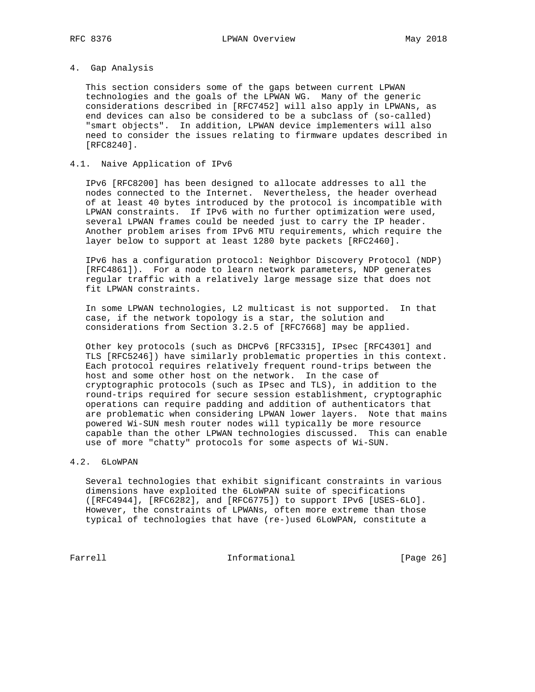### 4. Gap Analysis

 This section considers some of the gaps between current LPWAN technologies and the goals of the LPWAN WG. Many of the generic considerations described in [RFC7452] will also apply in LPWANs, as end devices can also be considered to be a subclass of (so-called) "smart objects". In addition, LPWAN device implementers will also need to consider the issues relating to firmware updates described in [RFC8240].

### 4.1. Naive Application of IPv6

 IPv6 [RFC8200] has been designed to allocate addresses to all the nodes connected to the Internet. Nevertheless, the header overhead of at least 40 bytes introduced by the protocol is incompatible with LPWAN constraints. If IPv6 with no further optimization were used, several LPWAN frames could be needed just to carry the IP header. Another problem arises from IPv6 MTU requirements, which require the layer below to support at least 1280 byte packets [RFC2460].

 IPv6 has a configuration protocol: Neighbor Discovery Protocol (NDP) [RFC4861]). For a node to learn network parameters, NDP generates regular traffic with a relatively large message size that does not fit LPWAN constraints.

 In some LPWAN technologies, L2 multicast is not supported. In that case, if the network topology is a star, the solution and considerations from Section 3.2.5 of [RFC7668] may be applied.

 Other key protocols (such as DHCPv6 [RFC3315], IPsec [RFC4301] and TLS [RFC5246]) have similarly problematic properties in this context. Each protocol requires relatively frequent round-trips between the host and some other host on the network. In the case of cryptographic protocols (such as IPsec and TLS), in addition to the round-trips required for secure session establishment, cryptographic operations can require padding and addition of authenticators that are problematic when considering LPWAN lower layers. Note that mains powered Wi-SUN mesh router nodes will typically be more resource capable than the other LPWAN technologies discussed. This can enable use of more "chatty" protocols for some aspects of Wi-SUN.

# 4.2. 6LoWPAN

 Several technologies that exhibit significant constraints in various dimensions have exploited the 6LoWPAN suite of specifications ([RFC4944], [RFC6282], and [RFC6775]) to support IPv6 [USES-6LO]. However, the constraints of LPWANs, often more extreme than those typical of technologies that have (re-)used 6LoWPAN, constitute a

Farrell **Informational Informational** [Page 26]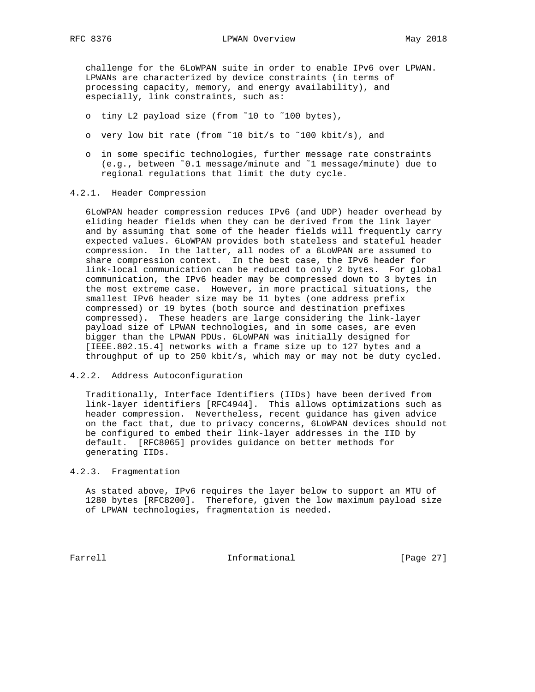challenge for the 6LoWPAN suite in order to enable IPv6 over LPWAN. LPWANs are characterized by device constraints (in terms of processing capacity, memory, and energy availability), and especially, link constraints, such as:

- o tiny L2 payload size (from ˜10 to ˜100 bytes),
- o very low bit rate (from ˜10 bit/s to ˜100 kbit/s), and
- o in some specific technologies, further message rate constraints (e.g., between ˜0.1 message/minute and ˜1 message/minute) due to regional regulations that limit the duty cycle.

#### 4.2.1. Header Compression

 6LoWPAN header compression reduces IPv6 (and UDP) header overhead by eliding header fields when they can be derived from the link layer and by assuming that some of the header fields will frequently carry expected values. 6LoWPAN provides both stateless and stateful header compression. In the latter, all nodes of a 6LoWPAN are assumed to share compression context. In the best case, the IPv6 header for link-local communication can be reduced to only 2 bytes. For global communication, the IPv6 header may be compressed down to 3 bytes in the most extreme case. However, in more practical situations, the smallest IPv6 header size may be 11 bytes (one address prefix compressed) or 19 bytes (both source and destination prefixes compressed). These headers are large considering the link-layer payload size of LPWAN technologies, and in some cases, are even bigger than the LPWAN PDUs. 6LoWPAN was initially designed for [IEEE.802.15.4] networks with a frame size up to 127 bytes and a throughput of up to 250 kbit/s, which may or may not be duty cycled.

### 4.2.2. Address Autoconfiguration

 Traditionally, Interface Identifiers (IIDs) have been derived from link-layer identifiers [RFC4944]. This allows optimizations such as header compression. Nevertheless, recent guidance has given advice on the fact that, due to privacy concerns, 6LoWPAN devices should not be configured to embed their link-layer addresses in the IID by default. [RFC8065] provides guidance on better methods for generating IIDs.

### 4.2.3. Fragmentation

 As stated above, IPv6 requires the layer below to support an MTU of 1280 bytes [RFC8200]. Therefore, given the low maximum payload size of LPWAN technologies, fragmentation is needed.

Farrell **Informational Informational** [Page 27]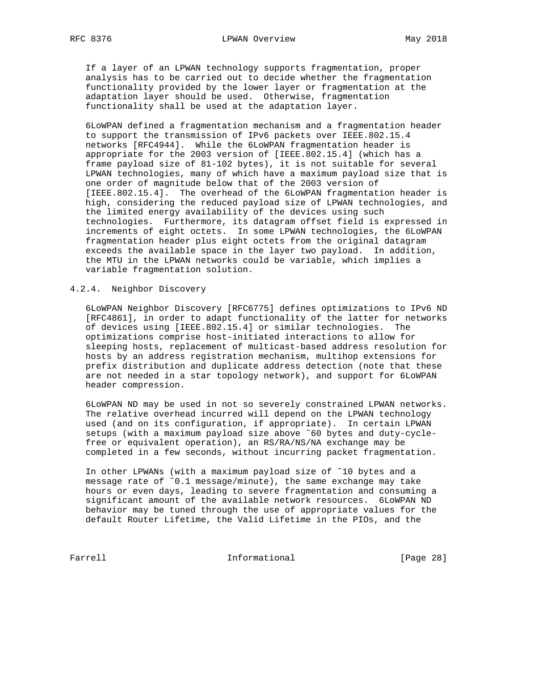If a layer of an LPWAN technology supports fragmentation, proper analysis has to be carried out to decide whether the fragmentation functionality provided by the lower layer or fragmentation at the adaptation layer should be used. Otherwise, fragmentation functionality shall be used at the adaptation layer.

 6LoWPAN defined a fragmentation mechanism and a fragmentation header to support the transmission of IPv6 packets over IEEE.802.15.4 networks [RFC4944]. While the 6LoWPAN fragmentation header is appropriate for the 2003 version of [IEEE.802.15.4] (which has a frame payload size of 81-102 bytes), it is not suitable for several LPWAN technologies, many of which have a maximum payload size that is one order of magnitude below that of the 2003 version of [IEEE.802.15.4]. The overhead of the 6LoWPAN fragmentation header is high, considering the reduced payload size of LPWAN technologies, and the limited energy availability of the devices using such technologies. Furthermore, its datagram offset field is expressed in increments of eight octets. In some LPWAN technologies, the 6LoWPAN fragmentation header plus eight octets from the original datagram exceeds the available space in the layer two payload. In addition, the MTU in the LPWAN networks could be variable, which implies a variable fragmentation solution.

### 4.2.4. Neighbor Discovery

 6LoWPAN Neighbor Discovery [RFC6775] defines optimizations to IPv6 ND [RFC4861], in order to adapt functionality of the latter for networks of devices using [IEEE.802.15.4] or similar technologies. The optimizations comprise host-initiated interactions to allow for sleeping hosts, replacement of multicast-based address resolution for hosts by an address registration mechanism, multihop extensions for prefix distribution and duplicate address detection (note that these are not needed in a star topology network), and support for 6LoWPAN header compression.

 6LoWPAN ND may be used in not so severely constrained LPWAN networks. The relative overhead incurred will depend on the LPWAN technology used (and on its configuration, if appropriate). In certain LPWAN setups (with a maximum payload size above ˜60 bytes and duty-cycle free or equivalent operation), an RS/RA/NS/NA exchange may be completed in a few seconds, without incurring packet fragmentation.

 In other LPWANs (with a maximum payload size of ˜10 bytes and a message rate of ˜0.1 message/minute), the same exchange may take hours or even days, leading to severe fragmentation and consuming a significant amount of the available network resources. 6LoWPAN ND behavior may be tuned through the use of appropriate values for the default Router Lifetime, the Valid Lifetime in the PIOs, and the

Farrell **Informational Informational** [Page 28]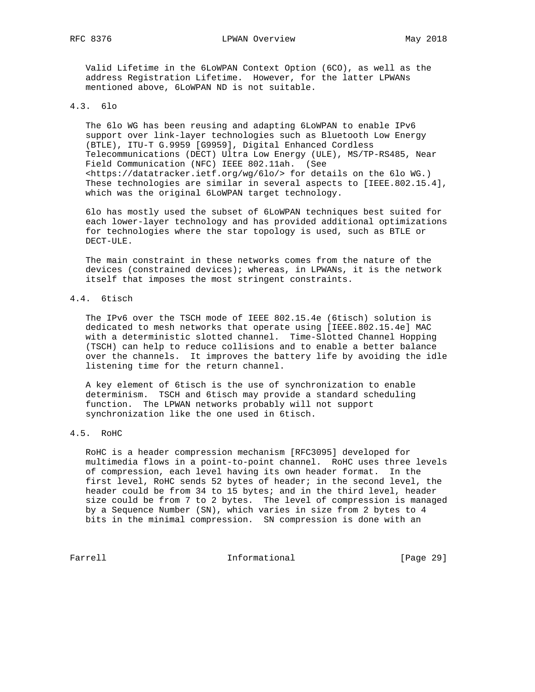Valid Lifetime in the 6LoWPAN Context Option (6CO), as well as the address Registration Lifetime. However, for the latter LPWANs mentioned above, 6LoWPAN ND is not suitable.

#### 4.3. 6lo

 The 6lo WG has been reusing and adapting 6LoWPAN to enable IPv6 support over link-layer technologies such as Bluetooth Low Energy (BTLE), ITU-T G.9959 [G9959], Digital Enhanced Cordless Telecommunications (DECT) Ultra Low Energy (ULE), MS/TP-RS485, Near Field Communication (NFC) IEEE 802.11ah. (See <https://datatracker.ietf.org/wg/6lo/> for details on the 6lo WG.) These technologies are similar in several aspects to [IEEE.802.15.4], which was the original 6LoWPAN target technology.

 6lo has mostly used the subset of 6LoWPAN techniques best suited for each lower-layer technology and has provided additional optimizations for technologies where the star topology is used, such as BTLE or DECT-ULE.

 The main constraint in these networks comes from the nature of the devices (constrained devices); whereas, in LPWANs, it is the network itself that imposes the most stringent constraints.

# 4.4. 6tisch

 The IPv6 over the TSCH mode of IEEE 802.15.4e (6tisch) solution is dedicated to mesh networks that operate using [IEEE.802.15.4e] MAC with a deterministic slotted channel. Time-Slotted Channel Hopping (TSCH) can help to reduce collisions and to enable a better balance over the channels. It improves the battery life by avoiding the idle listening time for the return channel.

 A key element of 6tisch is the use of synchronization to enable determinism. TSCH and 6tisch may provide a standard scheduling function. The LPWAN networks probably will not support synchronization like the one used in 6tisch.

# 4.5. RoHC

 RoHC is a header compression mechanism [RFC3095] developed for multimedia flows in a point-to-point channel. RoHC uses three levels of compression, each level having its own header format. In the first level, RoHC sends 52 bytes of header; in the second level, the header could be from 34 to 15 bytes; and in the third level, header size could be from 7 to 2 bytes. The level of compression is managed by a Sequence Number (SN), which varies in size from 2 bytes to 4 bits in the minimal compression. SN compression is done with an

Farrell **Informational Informational** [Page 29]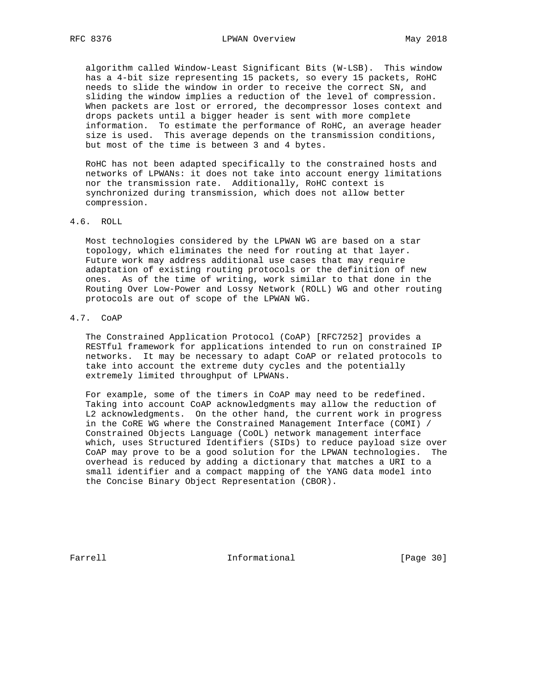algorithm called Window-Least Significant Bits (W-LSB). This window has a 4-bit size representing 15 packets, so every 15 packets, RoHC needs to slide the window in order to receive the correct SN, and sliding the window implies a reduction of the level of compression. When packets are lost or errored, the decompressor loses context and drops packets until a bigger header is sent with more complete information. To estimate the performance of RoHC, an average header size is used. This average depends on the transmission conditions, but most of the time is between 3 and 4 bytes.

 RoHC has not been adapted specifically to the constrained hosts and networks of LPWANs: it does not take into account energy limitations nor the transmission rate. Additionally, RoHC context is synchronized during transmission, which does not allow better compression.

## 4.6. ROLL

 Most technologies considered by the LPWAN WG are based on a star topology, which eliminates the need for routing at that layer. Future work may address additional use cases that may require adaptation of existing routing protocols or the definition of new ones. As of the time of writing, work similar to that done in the Routing Over Low-Power and Lossy Network (ROLL) WG and other routing protocols are out of scope of the LPWAN WG.

# 4.7. CoAP

 The Constrained Application Protocol (CoAP) [RFC7252] provides a RESTful framework for applications intended to run on constrained IP networks. It may be necessary to adapt CoAP or related protocols to take into account the extreme duty cycles and the potentially extremely limited throughput of LPWANs.

 For example, some of the timers in CoAP may need to be redefined. Taking into account CoAP acknowledgments may allow the reduction of L2 acknowledgments. On the other hand, the current work in progress in the CoRE WG where the Constrained Management Interface (COMI) / Constrained Objects Language (CoOL) network management interface which, uses Structured Identifiers (SIDs) to reduce payload size over CoAP may prove to be a good solution for the LPWAN technologies. The overhead is reduced by adding a dictionary that matches a URI to a small identifier and a compact mapping of the YANG data model into the Concise Binary Object Representation (CBOR).

Farrell **Informational Informational** [Page 30]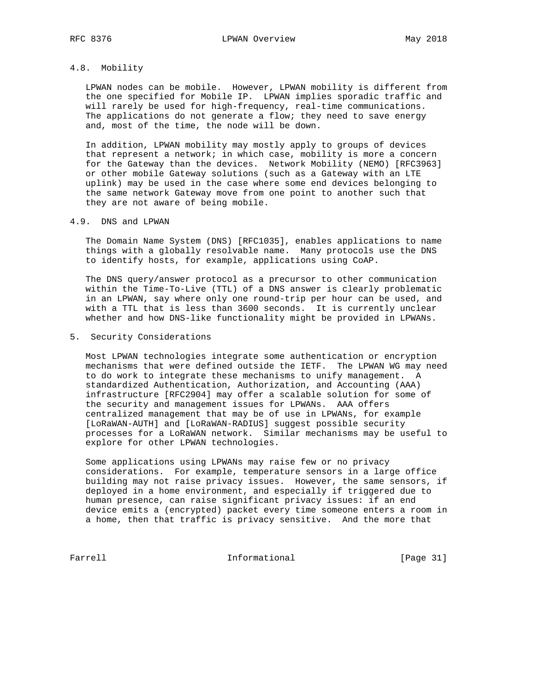## 4.8. Mobility

 LPWAN nodes can be mobile. However, LPWAN mobility is different from the one specified for Mobile IP. LPWAN implies sporadic traffic and will rarely be used for high-frequency, real-time communications. The applications do not generate a flow; they need to save energy and, most of the time, the node will be down.

 In addition, LPWAN mobility may mostly apply to groups of devices that represent a network; in which case, mobility is more a concern for the Gateway than the devices. Network Mobility (NEMO) [RFC3963] or other mobile Gateway solutions (such as a Gateway with an LTE uplink) may be used in the case where some end devices belonging to the same network Gateway move from one point to another such that they are not aware of being mobile.

### 4.9. DNS and LPWAN

 The Domain Name System (DNS) [RFC1035], enables applications to name things with a globally resolvable name. Many protocols use the DNS to identify hosts, for example, applications using CoAP.

 The DNS query/answer protocol as a precursor to other communication within the Time-To-Live (TTL) of a DNS answer is clearly problematic in an LPWAN, say where only one round-trip per hour can be used, and with a TTL that is less than 3600 seconds. It is currently unclear whether and how DNS-like functionality might be provided in LPWANs.

### 5. Security Considerations

 Most LPWAN technologies integrate some authentication or encryption mechanisms that were defined outside the IETF. The LPWAN WG may need to do work to integrate these mechanisms to unify management. A standardized Authentication, Authorization, and Accounting (AAA) infrastructure [RFC2904] may offer a scalable solution for some of the security and management issues for LPWANs. AAA offers centralized management that may be of use in LPWANs, for example [LoRaWAN-AUTH] and [LoRaWAN-RADIUS] suggest possible security processes for a LoRaWAN network. Similar mechanisms may be useful to explore for other LPWAN technologies.

 Some applications using LPWANs may raise few or no privacy considerations. For example, temperature sensors in a large office building may not raise privacy issues. However, the same sensors, if deployed in a home environment, and especially if triggered due to human presence, can raise significant privacy issues: if an end device emits a (encrypted) packet every time someone enters a room in a home, then that traffic is privacy sensitive. And the more that

Farrell **Informational** [Page 31]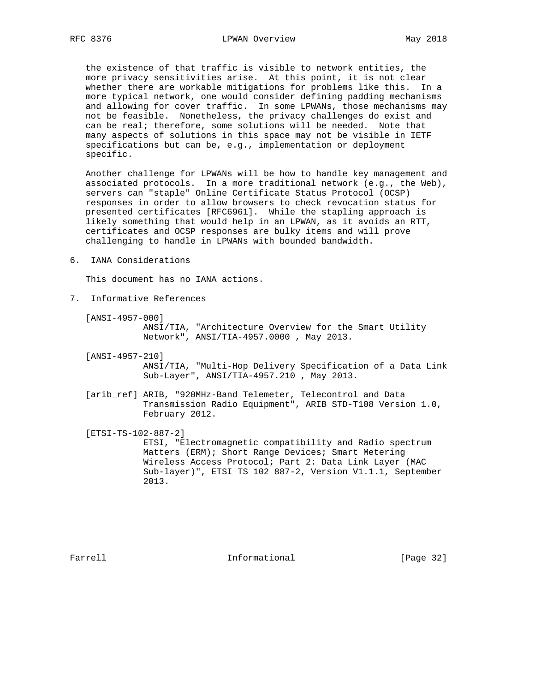the existence of that traffic is visible to network entities, the more privacy sensitivities arise. At this point, it is not clear whether there are workable mitigations for problems like this. In a more typical network, one would consider defining padding mechanisms and allowing for cover traffic. In some LPWANs, those mechanisms may not be feasible. Nonetheless, the privacy challenges do exist and can be real; therefore, some solutions will be needed. Note that many aspects of solutions in this space may not be visible in IETF specifications but can be, e.g., implementation or deployment specific.

 Another challenge for LPWANs will be how to handle key management and associated protocols. In a more traditional network (e.g., the Web), servers can "staple" Online Certificate Status Protocol (OCSP) responses in order to allow browsers to check revocation status for presented certificates [RFC6961]. While the stapling approach is likely something that would help in an LPWAN, as it avoids an RTT, certificates and OCSP responses are bulky items and will prove challenging to handle in LPWANs with bounded bandwidth.

6. IANA Considerations

This document has no IANA actions.

7. Informative References

[ANSI-4957-000]

 ANSI/TIA, "Architecture Overview for the Smart Utility Network", ANSI/TIA-4957.0000 , May 2013.

[ANSI-4957-210]

 ANSI/TIA, "Multi-Hop Delivery Specification of a Data Link Sub-Layer", ANSI/TIA-4957.210 , May 2013.

[arib\_ref] ARIB, "920MHz-Band Telemeter, Telecontrol and Data Transmission Radio Equipment", ARIB STD-T108 Version 1.0, February 2012.

 [ETSI-TS-102-887-2] ETSI, "Electromagnetic compatibility and Radio spectrum Matters (ERM); Short Range Devices; Smart Metering Wireless Access Protocol; Part 2: Data Link Layer (MAC Sub-layer)", ETSI TS 102 887-2, Version V1.1.1, September 2013.

Farrell **Informational Informational** [Page 32]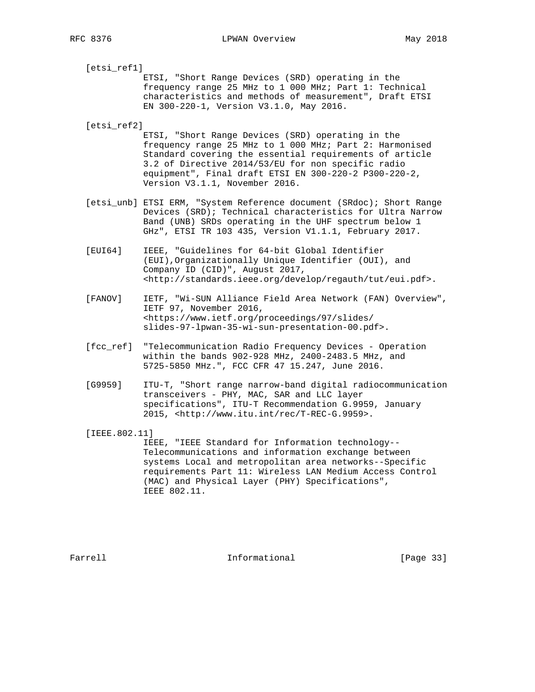RFC 8376 CPWAN Overview May 2018

 [etsi\_ref1] ETSI, "Short Range Devices (SRD) operating in the frequency range 25 MHz to 1 000 MHz; Part 1: Technical characteristics and methods of measurement", Draft ETSI EN 300-220-1, Version V3.1.0, May 2016. [etsi\_ref2] ETSI, "Short Range Devices (SRD) operating in the frequency range 25 MHz to 1 000 MHz; Part 2: Harmonised

 Standard covering the essential requirements of article 3.2 of Directive 2014/53/EU for non specific radio equipment", Final draft ETSI EN 300-220-2 P300-220-2, Version V3.1.1, November 2016.

- [etsi\_unb] ETSI ERM, "System Reference document (SRdoc); Short Range Devices (SRD); Technical characteristics for Ultra Narrow Band (UNB) SRDs operating in the UHF spectrum below 1 GHz", ETSI TR 103 435, Version V1.1.1, February 2017.
- [EUI64] IEEE, "Guidelines for 64-bit Global Identifier (EUI),Organizationally Unique Identifier (OUI), and Company ID (CID)", August 2017, <http://standards.ieee.org/develop/regauth/tut/eui.pdf>.
- [FANOV] IETF, "Wi-SUN Alliance Field Area Network (FAN) Overview", IETF 97, November 2016, <https://www.ietf.org/proceedings/97/slides/ slides-97-lpwan-35-wi-sun-presentation-00.pdf>.
- [fcc\_ref] "Telecommunication Radio Frequency Devices Operation within the bands 902-928 MHz, 2400-2483.5 MHz, and 5725-5850 MHz.", FCC CFR 47 15.247, June 2016.
- [G9959] ITU-T, "Short range narrow-band digital radiocommunication transceivers - PHY, MAC, SAR and LLC layer specifications", ITU-T Recommendation G.9959, January 2015, <http://www.itu.int/rec/T-REC-G.9959>.

[IEEE.802.11]

 IEEE, "IEEE Standard for Information technology-- Telecommunications and information exchange between systems Local and metropolitan area networks--Specific requirements Part 11: Wireless LAN Medium Access Control (MAC) and Physical Layer (PHY) Specifications", IEEE 802.11.

Farrell **Informational Informational** [Page 33]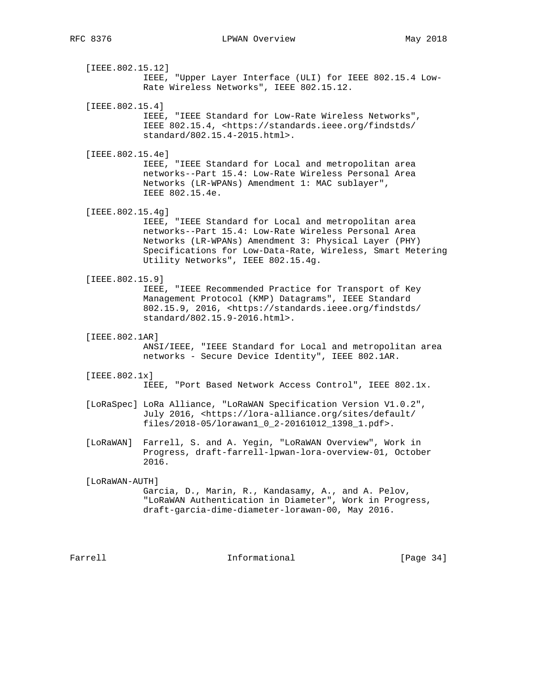[IEEE.802.15.12] IEEE, "Upper Layer Interface (ULI) for IEEE 802.15.4 Low- Rate Wireless Networks", IEEE 802.15.12.

 [IEEE.802.15.4] IEEE, "IEEE Standard for Low-Rate Wireless Networks", IEEE 802.15.4, <https://standards.ieee.org/findstds/ standard/802.15.4-2015.html>.

[IEEE.802.15.4e]

 IEEE, "IEEE Standard for Local and metropolitan area networks--Part 15.4: Low-Rate Wireless Personal Area Networks (LR-WPANs) Amendment 1: MAC sublayer", IEEE 802.15.4e.

[IEEE.802.15.4g]

 IEEE, "IEEE Standard for Local and metropolitan area networks--Part 15.4: Low-Rate Wireless Personal Area Networks (LR-WPANs) Amendment 3: Physical Layer (PHY) Specifications for Low-Data-Rate, Wireless, Smart Metering Utility Networks", IEEE 802.15.4g.

[IEEE.802.15.9]

 IEEE, "IEEE Recommended Practice for Transport of Key Management Protocol (KMP) Datagrams", IEEE Standard 802.15.9, 2016, <https://standards.ieee.org/findstds/ standard/802.15.9-2016.html>.

[IEEE.802.1AR]

 ANSI/IEEE, "IEEE Standard for Local and metropolitan area networks - Secure Device Identity", IEEE 802.1AR.

[IEEE.802.1x]

IEEE, "Port Based Network Access Control", IEEE 802.1x.

 [LoRaSpec] LoRa Alliance, "LoRaWAN Specification Version V1.0.2", July 2016, <https://lora-alliance.org/sites/default/ files/2018-05/lorawan1\_0\_2-20161012\_1398\_1.pdf>.

 [LoRaWAN] Farrell, S. and A. Yegin, "LoRaWAN Overview", Work in Progress, draft-farrell-lpwan-lora-overview-01, October 2016.

 [LoRaWAN-AUTH] Garcia, D., Marin, R., Kandasamy, A., and A. Pelov, "LoRaWAN Authentication in Diameter", Work in Progress, draft-garcia-dime-diameter-lorawan-00, May 2016.

Farrell **Informational Informational** [Page 34]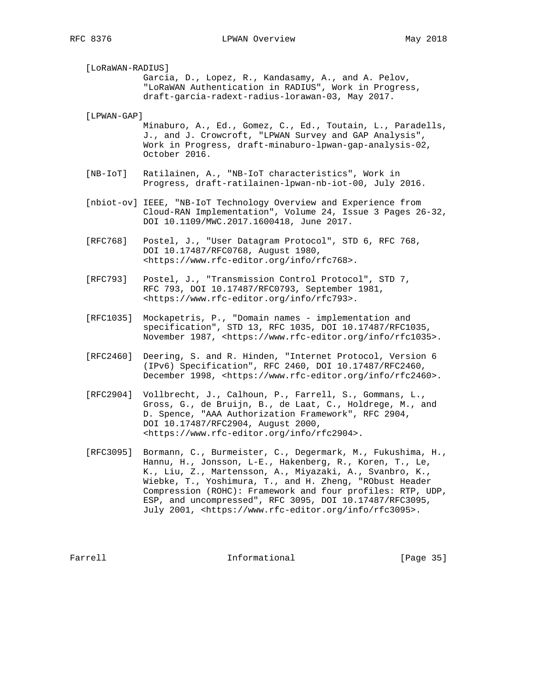[LoRaWAN-RADIUS] Garcia, D., Lopez, R., Kandasamy, A., and A. Pelov, "LoRaWAN Authentication in RADIUS", Work in Progress, draft-garcia-radext-radius-lorawan-03, May 2017.

[LPWAN-GAP]

 Minaburo, A., Ed., Gomez, C., Ed., Toutain, L., Paradells, J., and J. Crowcroft, "LPWAN Survey and GAP Analysis", Work in Progress, draft-minaburo-lpwan-gap-analysis-02, October 2016.

- [NB-IoT] Ratilainen, A., "NB-IoT characteristics", Work in Progress, draft-ratilainen-lpwan-nb-iot-00, July 2016.
- [nbiot-ov] IEEE, "NB-IoT Technology Overview and Experience from Cloud-RAN Implementation", Volume 24, Issue 3 Pages 26-32, DOI 10.1109/MWC.2017.1600418, June 2017.
- [RFC768] Postel, J., "User Datagram Protocol", STD 6, RFC 768, DOI 10.17487/RFC0768, August 1980, <https://www.rfc-editor.org/info/rfc768>.
- [RFC793] Postel, J., "Transmission Control Protocol", STD 7, RFC 793, DOI 10.17487/RFC0793, September 1981, <https://www.rfc-editor.org/info/rfc793>.
- [RFC1035] Mockapetris, P., "Domain names implementation and specification", STD 13, RFC 1035, DOI 10.17487/RFC1035, November 1987, <https://www.rfc-editor.org/info/rfc1035>.
- [RFC2460] Deering, S. and R. Hinden, "Internet Protocol, Version 6 (IPv6) Specification", RFC 2460, DOI 10.17487/RFC2460, December 1998, <https://www.rfc-editor.org/info/rfc2460>.
- [RFC2904] Vollbrecht, J., Calhoun, P., Farrell, S., Gommans, L., Gross, G., de Bruijn, B., de Laat, C., Holdrege, M., and D. Spence, "AAA Authorization Framework", RFC 2904, DOI 10.17487/RFC2904, August 2000, <https://www.rfc-editor.org/info/rfc2904>.
- [RFC3095] Bormann, C., Burmeister, C., Degermark, M., Fukushima, H., Hannu, H., Jonsson, L-E., Hakenberg, R., Koren, T., Le, K., Liu, Z., Martensson, A., Miyazaki, A., Svanbro, K., Wiebke, T., Yoshimura, T., and H. Zheng, "RObust Header Compression (ROHC): Framework and four profiles: RTP, UDP, ESP, and uncompressed", RFC 3095, DOI 10.17487/RFC3095, July 2001, <https://www.rfc-editor.org/info/rfc3095>.

Farrell **Informational Informational** [Page 35]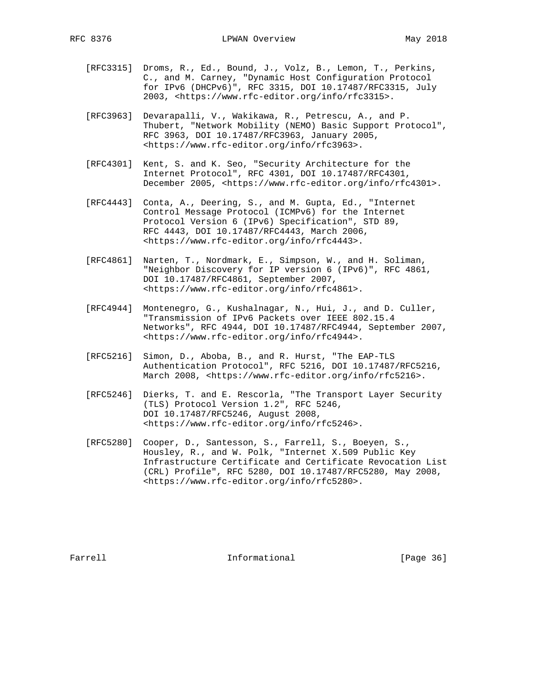- [RFC3315] Droms, R., Ed., Bound, J., Volz, B., Lemon, T., Perkins, C., and M. Carney, "Dynamic Host Configuration Protocol for IPv6 (DHCPv6)", RFC 3315, DOI 10.17487/RFC3315, July 2003, <https://www.rfc-editor.org/info/rfc3315>.
	- [RFC3963] Devarapalli, V., Wakikawa, R., Petrescu, A., and P. Thubert, "Network Mobility (NEMO) Basic Support Protocol", RFC 3963, DOI 10.17487/RFC3963, January 2005, <https://www.rfc-editor.org/info/rfc3963>.
	- [RFC4301] Kent, S. and K. Seo, "Security Architecture for the Internet Protocol", RFC 4301, DOI 10.17487/RFC4301, December 2005, <https://www.rfc-editor.org/info/rfc4301>.
	- [RFC4443] Conta, A., Deering, S., and M. Gupta, Ed., "Internet Control Message Protocol (ICMPv6) for the Internet Protocol Version 6 (IPv6) Specification", STD 89, RFC 4443, DOI 10.17487/RFC4443, March 2006, <https://www.rfc-editor.org/info/rfc4443>.
	- [RFC4861] Narten, T., Nordmark, E., Simpson, W., and H. Soliman, "Neighbor Discovery for IP version 6 (IPv6)", RFC 4861, DOI 10.17487/RFC4861, September 2007, <https://www.rfc-editor.org/info/rfc4861>.
	- [RFC4944] Montenegro, G., Kushalnagar, N., Hui, J., and D. Culler, "Transmission of IPv6 Packets over IEEE 802.15.4 Networks", RFC 4944, DOI 10.17487/RFC4944, September 2007, <https://www.rfc-editor.org/info/rfc4944>.
	- [RFC5216] Simon, D., Aboba, B., and R. Hurst, "The EAP-TLS Authentication Protocol", RFC 5216, DOI 10.17487/RFC5216, March 2008, <https://www.rfc-editor.org/info/rfc5216>.
	- [RFC5246] Dierks, T. and E. Rescorla, "The Transport Layer Security (TLS) Protocol Version 1.2", RFC 5246, DOI 10.17487/RFC5246, August 2008, <https://www.rfc-editor.org/info/rfc5246>.
	- [RFC5280] Cooper, D., Santesson, S., Farrell, S., Boeyen, S., Housley, R., and W. Polk, "Internet X.509 Public Key Infrastructure Certificate and Certificate Revocation List (CRL) Profile", RFC 5280, DOI 10.17487/RFC5280, May 2008, <https://www.rfc-editor.org/info/rfc5280>.

Farrell **Informational Informational** [Page 36]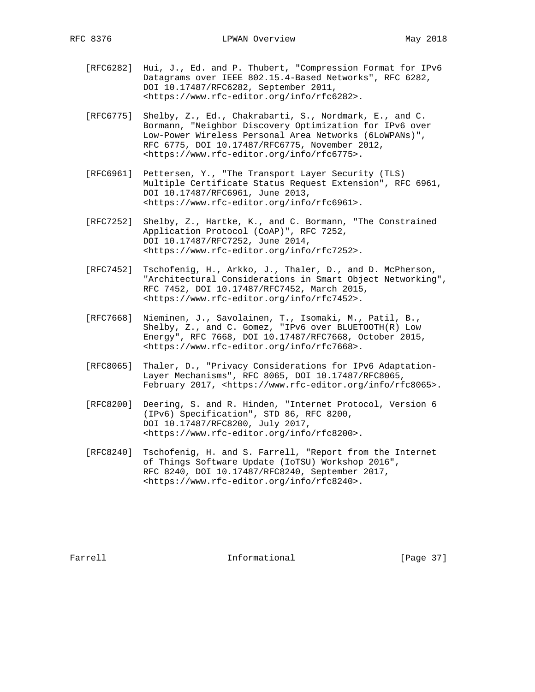- [RFC6282] Hui, J., Ed. and P. Thubert, "Compression Format for IPv6 Datagrams over IEEE 802.15.4-Based Networks", RFC 6282, DOI 10.17487/RFC6282, September 2011, <https://www.rfc-editor.org/info/rfc6282>.
- [RFC6775] Shelby, Z., Ed., Chakrabarti, S., Nordmark, E., and C. Bormann, "Neighbor Discovery Optimization for IPv6 over Low-Power Wireless Personal Area Networks (6LoWPANs)", RFC 6775, DOI 10.17487/RFC6775, November 2012, <https://www.rfc-editor.org/info/rfc6775>.
- [RFC6961] Pettersen, Y., "The Transport Layer Security (TLS) Multiple Certificate Status Request Extension", RFC 6961, DOI 10.17487/RFC6961, June 2013, <https://www.rfc-editor.org/info/rfc6961>.
- [RFC7252] Shelby, Z., Hartke, K., and C. Bormann, "The Constrained Application Protocol (CoAP)", RFC 7252, DOI 10.17487/RFC7252, June 2014, <https://www.rfc-editor.org/info/rfc7252>.
- [RFC7452] Tschofenig, H., Arkko, J., Thaler, D., and D. McPherson, "Architectural Considerations in Smart Object Networking", RFC 7452, DOI 10.17487/RFC7452, March 2015, <https://www.rfc-editor.org/info/rfc7452>.
- [RFC7668] Nieminen, J., Savolainen, T., Isomaki, M., Patil, B., Shelby, Z., and C. Gomez, "IPv6 over BLUETOOTH(R) Low Energy", RFC 7668, DOI 10.17487/RFC7668, October 2015, <https://www.rfc-editor.org/info/rfc7668>.
- [RFC8065] Thaler, D., "Privacy Considerations for IPv6 Adaptation- Layer Mechanisms", RFC 8065, DOI 10.17487/RFC8065, February 2017, <https://www.rfc-editor.org/info/rfc8065>.
- [RFC8200] Deering, S. and R. Hinden, "Internet Protocol, Version 6 (IPv6) Specification", STD 86, RFC 8200, DOI 10.17487/RFC8200, July 2017, <https://www.rfc-editor.org/info/rfc8200>.
- [RFC8240] Tschofenig, H. and S. Farrell, "Report from the Internet of Things Software Update (IoTSU) Workshop 2016", RFC 8240, DOI 10.17487/RFC8240, September 2017, <https://www.rfc-editor.org/info/rfc8240>.

Farrell **Informational Informational** [Page 37]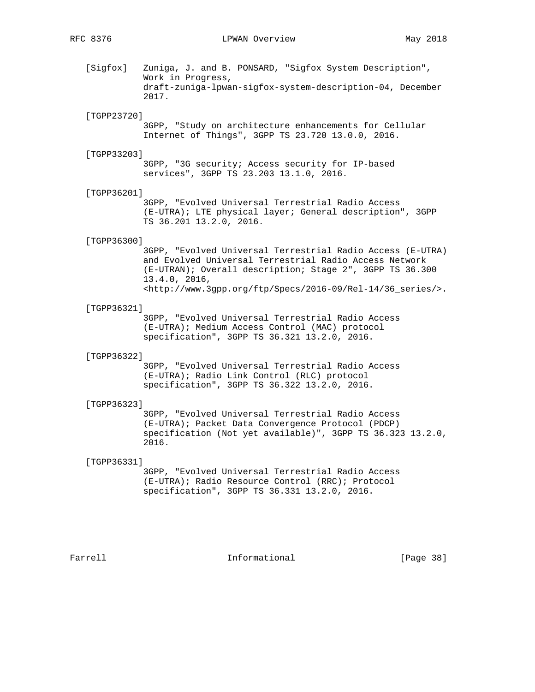[Sigfox] Zuniga, J. and B. PONSARD, "Sigfox System Description", Work in Progress, draft-zuniga-lpwan-sigfox-system-description-04, December 2017.

### [TGPP23720]

 3GPP, "Study on architecture enhancements for Cellular Internet of Things", 3GPP TS 23.720 13.0.0, 2016.

#### [TGPP33203]

 3GPP, "3G security; Access security for IP-based services", 3GPP TS 23.203 13.1.0, 2016.

#### [TGPP36201]

 3GPP, "Evolved Universal Terrestrial Radio Access (E-UTRA); LTE physical layer; General description", 3GPP TS 36.201 13.2.0, 2016.

#### [TGPP36300]

 3GPP, "Evolved Universal Terrestrial Radio Access (E-UTRA) and Evolved Universal Terrestrial Radio Access Network (E-UTRAN); Overall description; Stage 2", 3GPP TS 36.300 13.4.0, 2016, <http://www.3gpp.org/ftp/Specs/2016-09/Rel-14/36\_series/>.

#### [TGPP36321]

 3GPP, "Evolved Universal Terrestrial Radio Access (E-UTRA); Medium Access Control (MAC) protocol specification", 3GPP TS 36.321 13.2.0, 2016.

#### [TGPP36322]

 3GPP, "Evolved Universal Terrestrial Radio Access (E-UTRA); Radio Link Control (RLC) protocol specification", 3GPP TS 36.322 13.2.0, 2016.

#### [TGPP36323]

 3GPP, "Evolved Universal Terrestrial Radio Access (E-UTRA); Packet Data Convergence Protocol (PDCP) specification (Not yet available)", 3GPP TS 36.323 13.2.0, 2016.

## [TGPP36331]

 3GPP, "Evolved Universal Terrestrial Radio Access (E-UTRA); Radio Resource Control (RRC); Protocol specification", 3GPP TS 36.331 13.2.0, 2016.

Farrell **Informational Informational** [Page 38]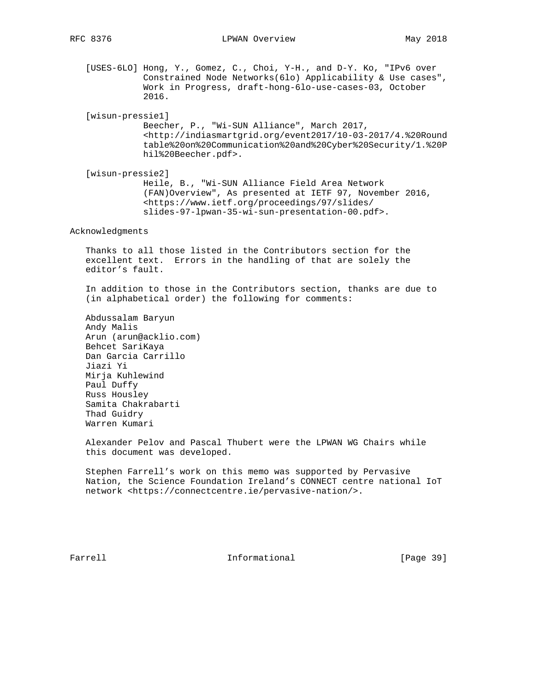[USES-6LO] Hong, Y., Gomez, C., Choi, Y-H., and D-Y. Ko, "IPv6 over Constrained Node Networks(6lo) Applicability & Use cases", Work in Progress, draft-hong-6lo-use-cases-03, October 2016.

[wisun-pressie1]

 Beecher, P., "Wi-SUN Alliance", March 2017, <http://indiasmartgrid.org/event2017/10-03-2017/4.%20Round table%20on%20Communication%20and%20Cyber%20Security/1.%20P hil%20Beecher.pdf>.

 [wisun-pressie2] Heile, B., "Wi-SUN Alliance Field Area Network (FAN)Overview", As presented at IETF 97, November 2016, <https://www.ietf.org/proceedings/97/slides/ slides-97-lpwan-35-wi-sun-presentation-00.pdf>.

Acknowledgments

 Thanks to all those listed in the Contributors section for the excellent text. Errors in the handling of that are solely the editor's fault.

 In addition to those in the Contributors section, thanks are due to (in alphabetical order) the following for comments:

 Abdussalam Baryun Andy Malis Arun (arun@acklio.com) Behcet SariKaya Dan Garcia Carrillo Jiazi Yi Mirja Kuhlewind Paul Duffy Russ Housley Samita Chakrabarti Thad Guidry Warren Kumari

 Alexander Pelov and Pascal Thubert were the LPWAN WG Chairs while this document was developed.

 Stephen Farrell's work on this memo was supported by Pervasive Nation, the Science Foundation Ireland's CONNECT centre national IoT network <https://connectcentre.ie/pervasive-nation/>.

Farrell **Informational** [Page 39]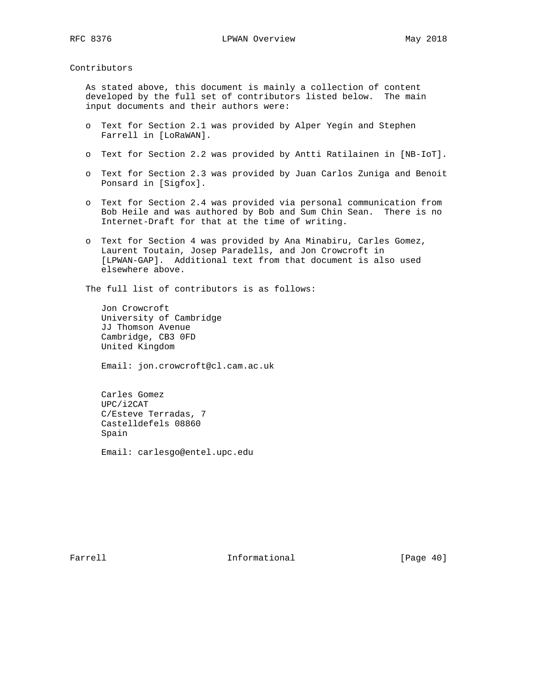Contributors

 As stated above, this document is mainly a collection of content developed by the full set of contributors listed below. The main input documents and their authors were:

- o Text for Section 2.1 was provided by Alper Yegin and Stephen Farrell in [LoRaWAN].
- o Text for Section 2.2 was provided by Antti Ratilainen in [NB-IoT].
- o Text for Section 2.3 was provided by Juan Carlos Zuniga and Benoit Ponsard in [Sigfox].
- o Text for Section 2.4 was provided via personal communication from Bob Heile and was authored by Bob and Sum Chin Sean. There is no Internet-Draft for that at the time of writing.
- o Text for Section 4 was provided by Ana Minabiru, Carles Gomez, Laurent Toutain, Josep Paradells, and Jon Crowcroft in [LPWAN-GAP]. Additional text from that document is also used elsewhere above.

The full list of contributors is as follows:

 Jon Crowcroft University of Cambridge JJ Thomson Avenue Cambridge, CB3 0FD United Kingdom

Email: jon.crowcroft@cl.cam.ac.uk

 Carles Gomez UPC/i2CAT C/Esteve Terradas, 7 Castelldefels 08860 Spain

Email: carlesgo@entel.upc.edu

Farrell **Informational** [Page 40]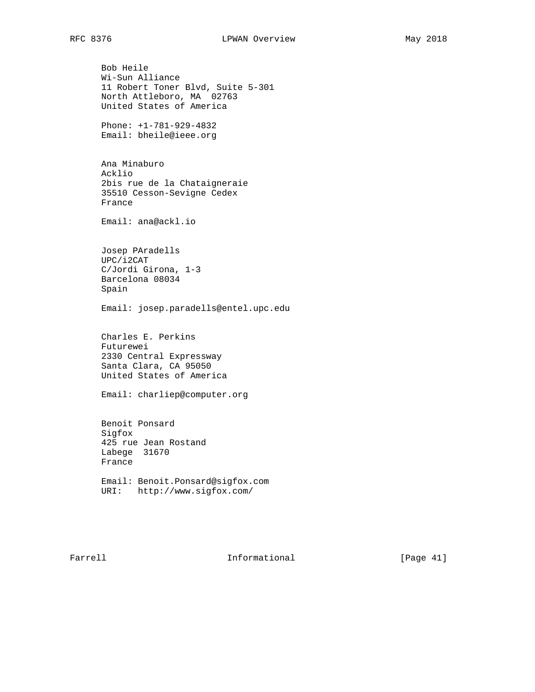Bob Heile Wi-Sun Alliance 11 Robert Toner Blvd, Suite 5-301 North Attleboro, MA 02763 United States of America Phone: +1-781-929-4832 Email: bheile@ieee.org Ana Minaburo Acklio 2bis rue de la Chataigneraie 35510 Cesson-Sevigne Cedex France Email: ana@ackl.io Josep PAradells UPC/i2CAT C/Jordi Girona, 1-3 Barcelona 08034 Spain Email: josep.paradells@entel.upc.edu Charles E. Perkins Futurewei 2330 Central Expressway Santa Clara, CA 95050 United States of America Email: charliep@computer.org Benoit Ponsard Sigfox 425 rue Jean Rostand Labege 31670 France Email: Benoit.Ponsard@sigfox.com URI: http://www.sigfox.com/

Farrell **Informational** [Page 41]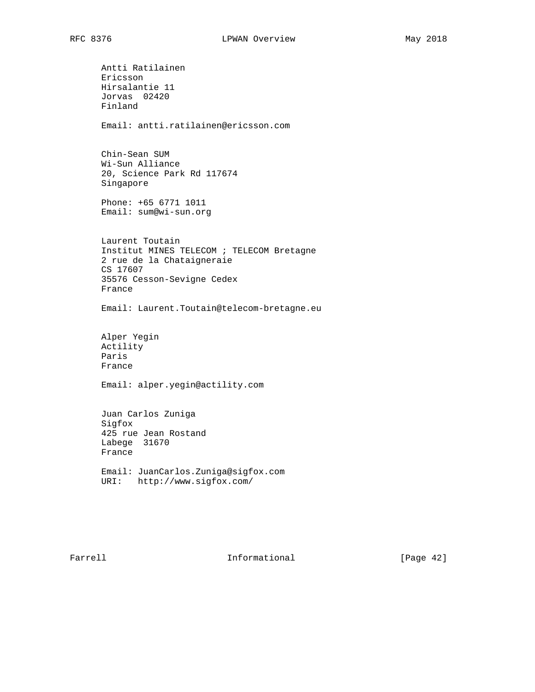Antti Ratilainen Ericsson Hirsalantie 11 Jorvas 02420 Finland Email: antti.ratilainen@ericsson.com Chin-Sean SUM Wi-Sun Alliance 20, Science Park Rd 117674 Singapore Phone: +65 6771 1011 Email: sum@wi-sun.org Laurent Toutain Institut MINES TELECOM ; TELECOM Bretagne 2 rue de la Chataigneraie CS 17607 35576 Cesson-Sevigne Cedex France Email: Laurent.Toutain@telecom-bretagne.eu Alper Yegin Actility Paris France Email: alper.yegin@actility.com Juan Carlos Zuniga Sigfox 425 rue Jean Rostand Labege 31670 France Email: JuanCarlos.Zuniga@sigfox.com URI: http://www.sigfox.com/

Farrell **Informational** [Page 42]